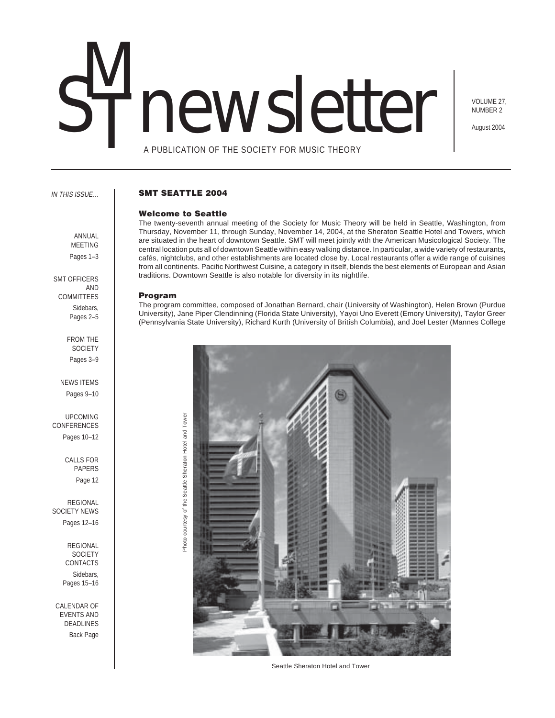# newsletter

VOLUME 27, NUMBER 2

August 2004

A PUBLICATION OF THE SOCIETY FOR MUSIC THEORY

### IN THIS ISSUE…

SMT OFFICERS

FROM THE **SOCIETY** Pages 3–9

NEWS ITEMS Pages 9–10

UPCOMING CONFERENCES Pages 10–12

ANNUAL MEETING Pages 1-3

AND **COMMITTEES** Sidebars, Pages 2–5

# **SMT SEATTLE 2004**

# **Welcome to Seattle**

The twenty-seventh annual meeting of the Society for Music Theory will be held in Seattle, Washington, from Thursday, November 11, through Sunday, November 14, 2004, at the Sheraton Seattle Hotel and Towers, which are situated in the heart of downtown Seattle. SMT will meet jointly with the American Musicological Society. The central location puts all of downtown Seattle within easy walking distance. In particular, a wide variety of restaurants, cafés, nightclubs, and other establishments are located close by. Local restaurants offer a wide range of cuisines from all continents. Pacific Northwest Cuisine, a category in itself, blends the best elements of European and Asian traditions. Downtown Seattle is also notable for diversity in its nightlife.

### **Program**

The program committee, composed of Jonathan Bernard, chair (University of Washington), Helen Brown (Purdue University), Jane Piper Clendinning (Florida State University), Yayoi Uno Everett (Emory University), Taylor Greer (Pennsylvania State University), Richard Kurth (University of British Columbia), and Joel Lester (Mannes College



Seattle Sheraton Hotel and Tower

Page 12 REGIONAL SOCIETY NEWS

CALLS FOR PAPERS

Pages 12–16

REGIONAL **SOCIETY** CONTACTS Sidebars,

Pages 15–16

CALENDAR OF EVENTS AND DEADLINES Back Page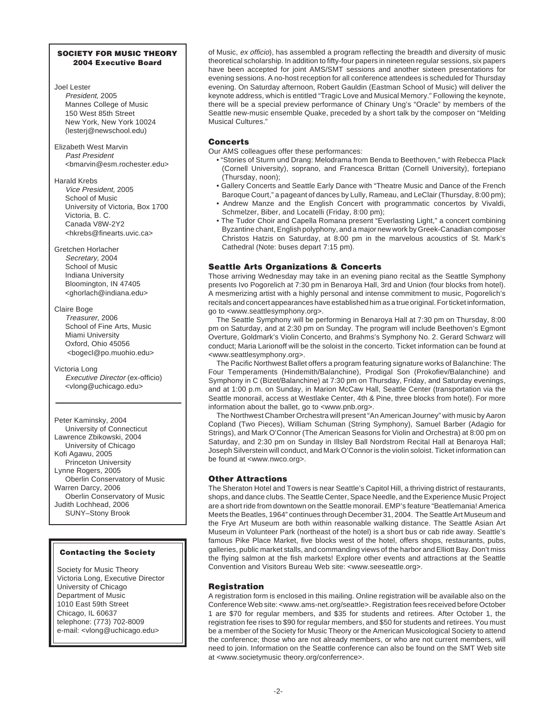# **SOCIETY FOR MUSIC THEORY 2004 Executive Board**

### Joel Lester

President, 2005 Mannes College of Music 150 West 85th Street New York, New York 10024 (lesterj@newschool.edu)

Elizabeth West Marvin Past President <bmarvin@esm.rochester.edu>

Harald Krebs Vice President, 2005 School of Music University of Victoria, Box 1700 Victoria, B. C. Canada V8W-2Y2 <hkrebs@finearts.uvic.ca>

Gretchen Horlacher Secretary, 2004 School of Music Indiana University Bloomington, IN 47405 <ghorlach@indiana.edu>

Claire Boge Treasurer, 2006 School of Fine Arts, Music Miami University Oxford, Ohio 45056 <bogecl@po.muohio.edu>

Victoria Long Executive Director (ex-officio) <vlong@uchicago.edu>

Peter Kaminsky, 2004 University of Connecticut Lawrence Zbikowski, 2004 University of Chicago Kofi Agawu, 2005 Princeton University Lynne Rogers, 2005 Oberlin Conservatory of Music Warren Darcy, 2006 Oberlin Conservatory of Music Judith Lochhead, 2006 SUNY–Stony Brook

# **Contacting the Society**

Society for Music Theory Victoria Long, Executive Director University of Chicago Department of Music 1010 East 59th Street Chicago, IL 60637 telephone: (773) 702-8009 e-mail: <vlong@uchicago.edu>

of Music, ex officio), has assembled a program reflecting the breadth and diversity of music theoretical scholarship. In addition to fifty-four papers in nineteen regular sessions, six papers have been accepted for joint AMS/SMT sessions and another sixteen presentations for evening sessions. A no-host reception for all conference attendees is scheduled for Thursday evening. On Saturday afternoon, Robert Gauldin (Eastman School of Music) will deliver the keynote address, which is entitled "Tragic Love and Musical Memory." Following the keynote, there will be a special preview performance of Chinary Ung's "Oracle" by members of the Seattle new-music ensemble Quake, preceded by a short talk by the composer on "Melding Musical Cultures."

# **Concerts**

Our AMS colleagues offer these performances:

- "Stories of Sturm und Drang: Melodrama from Benda to Beethoven," with Rebecca Plack (Cornell University), soprano, and Francesca Brittan (Cornell University), fortepiano (Thursday, noon);
- Gallery Concerts and Seattle Early Dance with "Theatre Music and Dance of the French Baroque Court," a pageant of dances by Lully, Rameau, and LeClair (Thursday, 8:00 pm);
- Andrew Manze and the English Concert with programmatic concertos by Vivaldi, Schmelzer, Biber, and Locatelli (Friday, 8:00 pm);
- The Tudor Choir and Capella Romana present "Everlasting Light," a concert combining Byzantine chant, English polyphony, and a major new work by Greek-Canadian composer Christos Hatzis on Saturday, at 8:00 pm in the marvelous acoustics of St. Mark's Cathedral (Note: buses depart 7:15 pm).

# **Seattle Arts Organizations & Concerts**

Those arriving Wednesday may take in an evening piano recital as the Seattle Symphony presents Ivo Pogorelich at 7:30 pm in Benaroya Hall, 3rd and Union (four blocks from hotel). A mesmerizing artist with a highly personal and intense commitment to music, Pogorelich's recitals and concert appearances have established him as a true original. For ticket information, go to <www.seattlesymphony.org>.

The Seattle Symphony will be performing in Benaroya Hall at 7:30 pm on Thursday, 8:00 pm on Saturday, and at 2:30 pm on Sunday. The program will include Beethoven's Egmont Overture, Goldmark's Violin Concerto, and Brahms's Symphony No. 2. Gerard Schwarz will conduct; Maria Larionoff will be the soloist in the concerto. Ticket information can be found at <www.seattlesymphony.org>.

The Pacific Northwest Ballet offers a program featuring signature works of Balanchine: The Four Temperaments (Hindemith/Balanchine), Prodigal Son (Prokofiev/Balanchine) and Symphony in C (Bizet/Balanchine) at 7:30 pm on Thursday, Friday, and Saturday evenings, and at 1:00 p.m. on Sunday, in Marion McCaw Hall, Seattle Center (transportation via the Seattle monorail, access at Westlake Center, 4th & Pine, three blocks from hotel). For more information about the ballet, go to <www.pnb.org>.

The Northwest Chamber Orchestra will present "An American Journey" with music by Aaron Copland (Two Pieces), William Schuman (String Symphony), Samuel Barber (Adagio for Strings), and Mark O'Connor (The American Seasons for Violin and Orchestra) at 8:00 pm on Saturday, and 2:30 pm on Sunday in Illsley Ball Nordstrom Recital Hall at Benaroya Hall; Joseph Silverstein will conduct, and Mark O'Connor is the violin soloist. Ticket information can be found at <www.nwco.org>.

# **Other Attractions**

The Sheraton Hotel and Towers is near Seattle's Capitol Hill, a thriving district of restaurants, shops, and dance clubs. The Seattle Center, Space Needle, and the Experience Music Project are a short ride from downtown on the Seattle monorail. EMP's feature "Beatlemania! America Meets the Beatles, 1964" continues through December 31, 2004. The Seattle Art Museum and the Frye Art Museum are both within reasonable walking distance. The Seattle Asian Art Museum in Volunteer Park (northeast of the hotel) is a short bus or cab ride away. Seattle's famous Pike Place Market, five blocks west of the hotel, offers shops, restaurants, pubs, galleries, public market stalls, and commanding views of the harbor and Elliott Bay. Don't miss the flying salmon at the fish markets! Explore other events and attractions at the Seattle Convention and Visitors Bureau Web site: <www.seeseattle.org>.

# **Registration**

A registration form is enclosed in this mailing. Online registration will be available also on the Conference Web site: <www.ams-net.org/seattle>. Registration fees received before October 1 are \$70 for regular members, and \$35 for students and retirees. After October 1, the registration fee rises to \$90 for regular members, and \$50 for students and retirees. You must be a member of the Society for Music Theory or the American Musicological Society to attend the conference; those who are not already members, or who are not current members, will need to join. Information on the Seattle conference can also be found on the SMT Web site at <www.societymusic theory.org/conferrence>.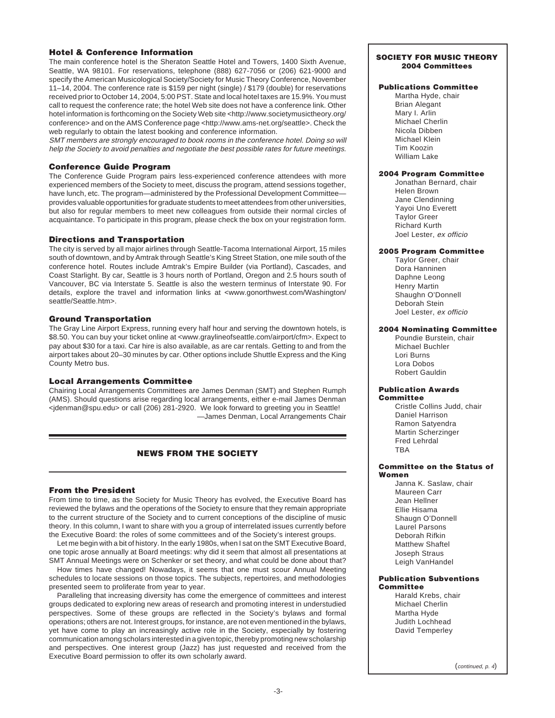# **Hotel & Conference Information**

The main conference hotel is the Sheraton Seattle Hotel and Towers, 1400 Sixth Avenue, Seattle, WA 98101. For reservations, telephone (888) 627-7056 or (206) 621-9000 and specify the American Musicological Society/Society for Music Theory Conference, November 11–14, 2004. The conference rate is \$159 per night (single) / \$179 (double) for reservations received prior to October 14, 2004, 5:00 PST. State and local hotel taxes are 15.9%. You must call to request the conference rate; the hotel Web site does not have a conference link. Other hotel information is forthcoming on the Society Web site <http://www.societymusictheory.org/ conference> and on the AMS Conference page <http://www.ams-net.org/seattle>. Check the web regularly to obtain the latest booking and conference information.

SMT members are strongly encouraged to book rooms in the conference hotel. Doing so will help the Society to avoid penalties and negotiate the best possible rates for future meetings.

# **Conference Guide Program**

The Conference Guide Program pairs less-experienced conference attendees with more experienced members of the Society to meet, discuss the program, attend sessions together, have lunch, etc. The program—administered by the Professional Development Committee provides valuable opportunities for graduate students to meet attendees from other universities, but also for regular members to meet new colleagues from outside their normal circles of acquaintance. To participate in this program, please check the box on your registration form.

# **Directions and Transportation**

The city is served by all major airlines through Seattle-Tacoma International Airport, 15 miles south of downtown, and by Amtrak through Seattle's King Street Station, one mile south of the conference hotel. Routes include Amtrak's Empire Builder (via Portland), Cascades, and Coast Starlight. By car, Seattle is 3 hours north of Portland, Oregon and 2.5 hours south of Vancouver, BC via Interstate 5. Seattle is also the western terminus of Interstate 90. For details, explore the travel and information links at <www.gonorthwest.com/Washington/ seattle/Seattle.htm>.

# **Ground Transportation**

The Gray Line Airport Express, running every half hour and serving the downtown hotels, is \$8.50. You can buy your ticket online at <www.graylineofseattle.com/airport/cfm>. Expect to pay about \$30 for a taxi. Car hire is also available, as are car rentals. Getting to and from the airport takes about 20–30 minutes by car. Other options include Shuttle Express and the King County Metro bus.

# **Local Arrangements Committee**

Chairing Local Arrangements Committees are James Denman (SMT) and Stephen Rumph (AMS). Should questions arise regarding local arrangements, either e-mail James Denman <jdenman@spu.edu> or call (206) 281-2920. We look forward to greeting you in Seattle! —James Denman, Local Arrangements Chair

# **NEWS FROM THE SOCIETY**

# **From the President**

From time to time, as the Society for Music Theory has evolved, the Executive Board has reviewed the bylaws and the operations of the Society to ensure that they remain appropriate to the current structure of the Society and to current conceptions of the discipline of music theory. In this column, I want to share with you a group of interrelated issues currently before the Executive Board: the roles of some committees and of the Society's interest groups.

Let me begin with a bit of history. In the early 1980s, when I sat on the SMT Executive Board, one topic arose annually at Board meetings: why did it seem that almost all presentations at SMT Annual Meetings were on Schenker or set theory, and what could be done about that?

How times have changed! Nowadays, it seems that one must scour Annual Meeting schedules to locate sessions on those topics. The subjects, repertoires, and methodologies presented seem to proliferate from year to year.

Paralleling that increasing diversity has come the emergence of committees and interest groups dedicated to exploring new areas of research and promoting interest in understudied perspectives. Some of these groups are reflected in the Society's bylaws and formal operations; others are not. Interest groups, for instance, are not even mentioned in the bylaws, yet have come to play an increasingly active role in the Society, especially by fostering communication among scholars interested in a given topic, thereby promoting new scholarship and perspectives. One interest group (Jazz) has just requested and received from the Executive Board permission to offer its own scholarly award.

### **SOCIETY FOR MUSIC THEORY 2004 Committees**

# **Publications Committee**

Martha Hyde, chair Brian Alegant Mary I. Arlin Michael Cherlin Nicola Dibben Michael Klein Tim Koozin William Lake

# **2004 Program Committee**

Jonathan Bernard, chair Helen Brown Jane Clendinning Yayoi Uno Everett Taylor Greer Richard Kurth Joel Lester, ex officio

# **2005 Program Committee**

Taylor Greer, chair Dora Hanninen Daphne Leong Henry Martin Shaughn O'Donnell Deborah Stein Joel Lester, ex officio

# **2004 Nominating Committee**

Poundie Burstein, chair Michael Buchler Lori Burns Lora Dobos Robert Gauldin

### **Publication Awards Committee**

Cristle Collins Judd, chair Daniel Harrison Ramon Satyendra Martin Scherzinger Fred Lehrdal **TRA** 

### **Committee on the Status of Women**

Janna K. Saslaw, chair Maureen Carr Jean Hellner Ellie Hisama Shaugn O'Donnell Laurel Parsons Deborah Rifkin Matthew Shaftel Joseph Straus Leigh VanHandel

# **Publication Subventions Committee**

Harald Krebs, chair Michael Cherlin Martha Hyde Judith Lochhead David Temperley

 $(\text{continued } p \, 4)$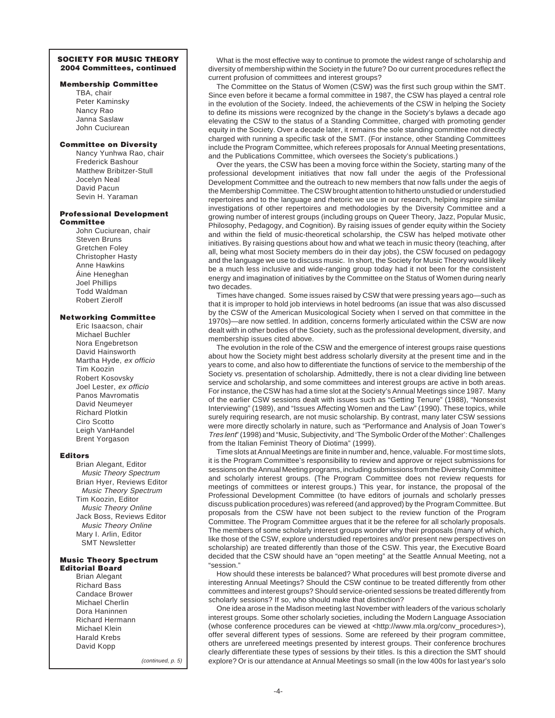# **SOCIETY FOR MUSIC THEORY 2004 Committees, continued**

### **Membership Committee**

TBA, chair Peter Kaminsky Nancy Rao Janna Saslaw John Cuciurean

### **Committee on Diversity**

Nancy Yunhwa Rao, chair Frederick Bashour Matthew Bribitzer-Stull Jocelyn Neal David Pacun Sevin H. Yaraman

### **Professional Development Committee**

John Cuciurean, chair Steven Bruns Gretchen Foley Christopher Hasty Anne Hawkins Áine Heneghan Joel Phillips Todd Waldman Robert Zierolf

# **Networking Committee**

Eric Isaacson, chair Michael Buchler Nora Engebretson David Hainsworth Martha Hyde, ex officio Tim Koozin Robert Kosovsky Joel Lester, ex officio Panos Mavromatis David Neumeyer Richard Plotkin Ciro Scotto Leigh VanHandel Brent Yorgason

### **Editors**

Brian Alegant, Editor Music Theory Spectrum Brian Hyer, Reviews Editor Music Theory Spectrum Tim Koozin, Editor Music Theory Online Jack Boss, Reviews Editor Music Theory Online Mary I. Arlin, Editor SMT Newsletter

### **Music Theory Spectrum Editorial Board**

Brian Alegant Richard Bass Candace Brower Michael Cherlin Dora Haninnen Richard Hermann Michael Klein Harald Krebs David Kopp

(continued, p. 5)

What is the most effective way to continue to promote the widest range of scholarship and diversity of membership within the Society in the future? Do our current procedures reflect the current profusion of committees and interest groups?

The Committee on the Status of Women (CSW) was the first such group within the SMT. Since even before it became a formal committee in 1987, the CSW has played a central role in the evolution of the Society. Indeed, the achievements of the CSW in helping the Society to define its missions were recognized by the change in the Society's bylaws a decade ago elevating the CSW to the status of a Standing Committee, charged with promoting gender equity in the Society. Over a decade later, it remains the sole standing committee not directly charged with running a specific task of the SMT. (For instance, other Standing Committees include the Program Committee, which referees proposals for Annual Meeting presentations, and the Publications Committee, which oversees the Society's publications.)

Over the years, the CSW has been a moving force within the Society, starting many of the professional development initiatives that now fall under the aegis of the Professional Development Committee and the outreach to new members that now falls under the aegis of the Membership Committee. The CSW brought attention to hitherto unstudied or understudied repertoires and to the language and rhetoric we use in our research, helping inspire similar investigations of other repertoires and methodologies by the Diversity Committee and a growing number of interest groups (including groups on Queer Theory, Jazz, Popular Music, Philosophy, Pedagogy, and Cognition). By raising issues of gender equity within the Society and within the field of music-theoretical scholarship, the CSW has helped motivate other initiatives. By raising questions about how and what we teach in music theory (teaching, after all, being what most Society members do in their day jobs), the CSW focused on pedagogy and the language we use to discuss music. In short, the Society for Music Theory would likely be a much less inclusive and wide-ranging group today had it not been for the consistent energy and imagination of initiatives by the Committee on the Status of Women during nearly two decades.

Times have changed. Some issues raised by CSW that were pressing years ago—such as that it is improper to hold job interviews in hotel bedrooms (an issue that was also discussed by the CSW of the American Musicological Society when I served on that committee in the 1970s)—are now settled. In addition, concerns formerly articulated within the CSW are now dealt with in other bodies of the Society, such as the professional development, diversity, and membership issues cited above.

The evolution in the role of the CSW and the emergence of interest groups raise questions about how the Society might best address scholarly diversity at the present time and in the years to come, and also how to differentiate the functions of service to the membership of the Society vs. presentation of scholarship. Admittedly, there is not a clear dividing line between service and scholarship, and some committees and interest groups are active in both areas. For instance, the CSW has had a time slot at the Society's Annual Meetings since 1987. Many of the earlier CSW sessions dealt with issues such as "Getting Tenure" (1988), "Nonsexist Interviewing" (1989), and "Issues Affecting Women and the Law" (1990). These topics, while surely requiring research, are not music scholarship. By contrast, many later CSW sessions were more directly scholarly in nature, such as "Performance and Analysis of Joan Tower's Tres lent" (1998) and "Music, Subjectivity, and 'The Symbolic Order of the Mother': Challenges from the Italian Feminist Theory of Diotima" (1999).

Time slots at Annual Meetings are finite in number and, hence, valuable. For most time slots, it is the Program Committee's responsibility to review and approve or reject submissions for sessions on the Annual Meeting programs, including submissions from the Diversity Committee and scholarly interest groups. (The Program Committee does not review requests for meetings of committees or interest groups.) This year, for instance, the proposal of the Professional Development Committee (to have editors of journals and scholarly presses discuss publication procedures) was refereed (and approved) by the Program Committee. But proposals from the CSW have not been subject to the review function of the Program Committee. The Program Committee argues that it be the referee for all scholarly proposals. The members of some scholarly interest groups wonder why their proposals (many of which, like those of the CSW, explore understudied repertoires and/or present new perspectives on scholarship) are treated differently than those of the CSW. This year, the Executive Board decided that the CSW should have an "open meeting" at the Seattle Annual Meeting, not a "session."

How should these interests be balanced? What procedures will best promote diverse and interesting Annual Meetings? Should the CSW continue to be treated differently from other committees and interest groups? Should service-oriented sessions be treated differently from scholarly sessions? If so, who should make that distinction?

One idea arose in the Madison meeting last November with leaders of the various scholarly interest groups. Some other scholarly societies, including the Modern Language Association (whose conference procedures can be viewed at <http://www.mla.org/conv\_procedures>), offer several different types of sessions. Some are refereed by their program committee, others are unrefereed meetings presented by interest groups. Their conference brochures clearly differentiate these types of sessions by their titles. Is this a direction the SMT should explore? Or is our attendance at Annual Meetings so small (in the low 400s for last year's solo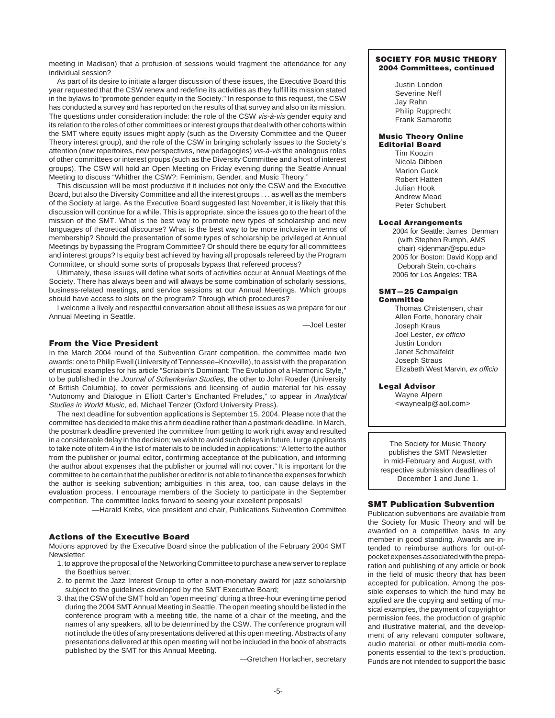meeting in Madison) that a profusion of sessions would fragment the attendance for any individual session?

As part of its desire to initiate a larger discussion of these issues, the Executive Board this year requested that the CSW renew and redefine its activities as they fulfill its mission stated in the bylaws to "promote gender equity in the Society." In response to this request, the CSW has conducted a survey and has reported on the results of that survey and also on its mission. The questions under consideration include: the role of the CSW vis-à-vis gender equity and its relation to the roles of other committees or interest groups that deal with other cohorts within the SMT where equity issues might apply (such as the Diversity Committee and the Queer Theory interest group), and the role of the CSW in bringing scholarly issues to the Society's attention (new repertoires, new perspectives, new pedagogies) vis-à-vis the analogous roles of other committees or interest groups (such as the Diversity Committee and a host of interest groups). The CSW will hold an Open Meeting on Friday evening during the Seattle Annual Meeting to discuss "Whither the CSW?: Feminism, Gender, and Music Theory."

This discussion will be most productive if it includes not only the CSW and the Executive Board, but also the Diversity Committee and all the interest groups . . . as well as the members of the Society at large. As the Executive Board suggested last November, it is likely that this discussion will continue for a while. This is appropriate, since the issues go to the heart of the mission of the SMT. What is the best way to promote new types of scholarship and new languages of theoretical discourse? What is the best way to be more inclusive in terms of membership? Should the presentation of some types of scholarship be privileged at Annual Meetings by bypassing the Program Committee? Or should there be equity for all committees and interest groups? Is equity best achieved by having all proposals refereed by the Program Committee, or should some sorts of proposals bypass that refereed process?

Ultimately, these issues will define what sorts of activities occur at Annual Meetings of the Society. There has always been and will always be some combination of scholarly sessions, business-related meetings, and service sessions at our Annual Meetings. Which groups should have access to slots on the program? Through which procedures?

I welcome a lively and respectful conversation about all these issues as we prepare for our Annual Meeting in Seattle.

—Joel Lester

# **From the Vice President**

In the March 2004 round of the Subvention Grant competition, the committee made two awards: one to Philip Ewell (University of Tennessee–Knoxville), to assist with the preparation of musical examples for his article "Scriabin's Dominant: The Evolution of a Harmonic Style," to be published in the Journal of Schenkerian Studies, the other to John Roeder (University of British Columbia), to cover permissions and licensing of audio material for his essay "Autonomy and Dialogue in Elliott Carter's Enchanted Preludes," to appear in Analytical Studies in World Music, ed. Michael Tenzer (Oxford University Press).

The next deadline for subvention applications is September 15, 2004. Please note that the committee has decided to make this a firm deadline rather than a postmark deadline. In March, the postmark deadline prevented the committee from getting to work right away and resulted in a considerable delay in the decision; we wish to avoid such delays in future. I urge applicants to take note of item 4 in the list of materials to be included in applications: "A letter to the author from the publisher or journal editor, confirming acceptance of the publication, and informing the author about expenses that the publisher or journal will not cover." It is important for the committee to be certain that the publisher or editor is not able to finance the expenses for which the author is seeking subvention; ambiguities in this area, too, can cause delays in the evaluation process. I encourage members of the Society to participate in the September competition. The committee looks forward to seeing your excellent proposals!

—Harald Krebs, vice president and chair, Publications Subvention Committee

# **Actions of the Executive Board**

Motions approved by the Executive Board since the publication of the February 2004 SMT Newsletter:

- 1. to approve the proposal of the Networking Committee to purchase a new server to replace the Boethius server;
- 2. to permit the Jazz Interest Group to offer a non-monetary award for jazz scholarship subject to the guidelines developed by the SMT Executive Board;
- 3. that the CSW of the SMT hold an "open meeting" during a three-hour evening time period during the 2004 SMT Annual Meeting in Seattle. The open meeting should be listed in the conference program with a meeting title, the name of a chair of the meeting, and the names of any speakers, all to be determined by the CSW. The conference program will not include the titles of any presentations delivered at this open meeting. Abstracts of any presentations delivered at this open meeting will not be included in the book of abstracts published by the SMT for this Annual Meeting.

—Gretchen Horlacher, secretary

### **SOCIETY FOR MUSIC THEORY 2004 Committees, continued**

Justin London Severine Neff Jay Rahn Philip Rupprecht Frank Samarotto

### **Music Theory Online Editorial Board**

Tim Koozin Nicola Dibben Marion Guck Robert Hatten Julian Hook Andrew Mead Peter Schubert

### **Local Arrangements**

2004 for Seattle: James Denman (with Stephen Rumph, AMS chair) <jdenman@spu.edu> 2005 for Boston: David Kopp and Deborah Stein, co-chairs 2006 for Los Angeles: TBA

### **SMT—25 Campaign Committee**

Thomas Christensen, chair Allen Forte, honorary chair Joseph Kraus Joel Lester, ex officio Justin London Janet Schmalfeldt Joseph Straus Elizabeth West Marvin, ex officio

### **Legal Advisor**

Wayne Alpern <waynealp@aol.com>

The Society for Music Theory publishes the SMT Newsletter in mid-February and August, with respective submission deadlines of December 1 and June 1.

### **SMT Publication Subvention**

Publication subventions are available from the Society for Music Theory and will be awarded on a competitive basis to any member in good standing. Awards are intended to reimburse authors for out-ofpocket expenses associated with the preparation and publishing of any article or book in the field of music theory that has been accepted for publication. Among the possible expenses to which the fund may be applied are the copying and setting of musical examples, the payment of copyright or permission fees, the production of graphic and illustrative material, and the development of any relevant computer software, audio material, or other multi-media components essential to the text's production. Funds are not intended to support the basic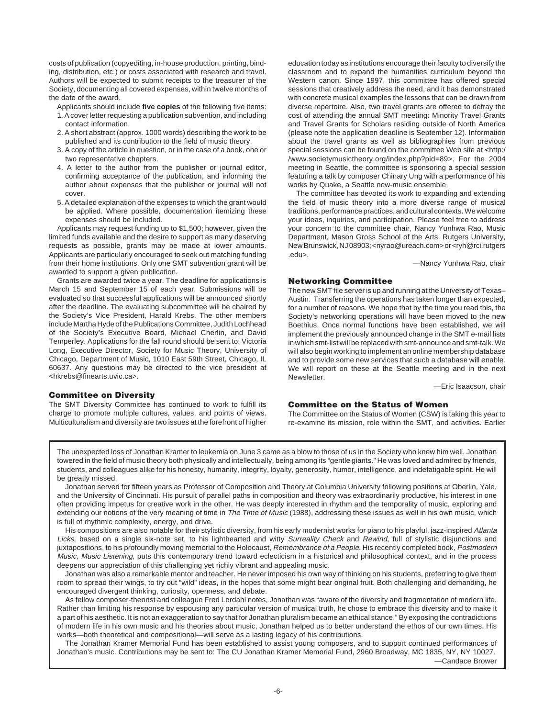costs of publication (copyediting, in-house production, printing, binding, distribution, etc.) or costs associated with research and travel. Authors will be expected to submit receipts to the treasurer of the Society, documenting all covered expenses, within twelve months of the date of the award.

- Applicants should include **five copies** of the following five items: 1. A cover letter requesting a publication subvention, and including contact information.
- 2. A short abstract (approx. 1000 words) describing the work to be published and its contribution to the field of music theory.
- 3. A copy of the article in question, or in the case of a book, one or two representative chapters.
- 4. A letter to the author from the publisher or journal editor, confirming acceptance of the publication, and informing the author about expenses that the publisher or journal will not cover.
- 5. A detailed explanation of the expenses to which the grant would be applied. Where possible, documentation itemizing these expenses should be included.

Applicants may request funding up to \$1,500; however, given the limited funds available and the desire to support as many deserving requests as possible, grants may be made at lower amounts. Applicants are particularly encouraged to seek out matching funding from their home institutions. Only one SMT subvention grant will be awarded to support a given publication.

Grants are awarded twice a year. The deadline for applications is March 15 and September 15 of each year. Submissions will be evaluated so that successful applications will be announced shortly after the deadline. The evaluating subcommittee will be chaired by the Society's Vice President, Harald Krebs. The other members include Martha Hyde of the Publications Committee, Judith Lochhead of the Society's Executive Board, Michael Cherlin, and David Temperley. Applications for the fall round should be sent to: Victoria Long, Executive Director, Society for Music Theory, University of Chicago, Department of Music, 1010 East 59th Street, Chicago, IL 60637. Any questions may be directed to the vice president at <hkrebs@finearts.uvic.ca>.

# **Committee on Diversity**

The SMT Diversity Committee has continued to work to fulfill its charge to promote multiple cultures, values, and points of views. Multiculturalism and diversity are two issues at the forefront of higher

education today as institutions encourage their faculty to diversify the classroom and to expand the humanities curriculum beyond the Western canon. Since 1997, this committee has offered special sessions that creatively address the need, and it has demonstrated with concrete musical examples the lessons that can be drawn from diverse repertoire. Also, two travel grants are offered to defray the cost of attending the annual SMT meeting: Minority Travel Grants and Travel Grants for Scholars residing outside of North America (please note the application deadline is September 12). Information about the travel grants as well as bibliographies from previous special sessions can be found on the committee Web site at <http:/ /www.societymusictheory.org/index.php?pid=89>. For the 2004 meeting in Seattle, the committee is sponsoring a special session featuring a talk by composer Chinary Ung with a performance of his works by Quake, a Seattle new-music ensemble.

The committee has devoted its work to expanding and extending the field of music theory into a more diverse range of musical traditions, performance practices, and cultural contexts. We welcome your ideas, inquiries, and participation. Please feel free to address your concern to the committee chair, Nancy Yunhwa Rao, Music Department, Mason Gross School of the Arts, Rutgers University, New Brunswick, NJ 08903; <nyrao@ureach.com> or <ryh@rci.rutgers .edu>.

—Nancy Yunhwa Rao, chair

### **Networking Committee**

The new SMT file server is up and running at the University of Texas– Austin. Transferring the operations has taken longer than expected, for a number of reasons. We hope that by the time you read this, the Society's networking operations will have been moved to the new Boethius. Once normal functions have been established, we will implement the previously announced change in the SMT e-mail lists in which smt-list will be replaced with smt-announce and smt-talk. We will also begin working to implement an online membership database and to provide some new services that such a database will enable. We will report on these at the Seattle meeting and in the next Newsletter.

—Eric Isaacson, chair

# **Committee on the Status of Women**

The Committee on the Status of Women (CSW) is taking this year to re-examine its mission, role within the SMT, and activities. Earlier

The unexpected loss of Jonathan Kramer to leukemia on June 3 came as a blow to those of us in the Society who knew him well. Jonathan towered in the field of music theory both physically and intellectually, being among its "gentle giants." He was loved and admired by friends, students, and colleagues alike for his honesty, humanity, integrity, loyalty, generosity, humor, intelligence, and indefatigable spirit. He will be greatly missed.

Jonathan served for fifteen years as Professor of Composition and Theory at Columbia University following positions at Oberlin, Yale, and the University of Cincinnati. His pursuit of parallel paths in composition and theory was extraordinarily productive, his interest in one often providing impetus for creative work in the other. He was deeply interested in rhythm and the temporality of music, exploring and extending our notions of the very meaning of time in The Time of Music (1988), addressing these issues as well in his own music, which is full of rhythmic complexity, energy, and drive.

His compositions are also notable for their stylistic diversity, from his early modernist works for piano to his playful, jazz-inspired Atlanta Licks, based on a single six-note set, to his lighthearted and witty Surreality Check and Rewind, full of stylistic disjunctions and juxtapositions, to his profoundly moving memorial to the Holocaust, Remembrance of a People. His recently completed book, Postmodern Music, Music Listening, puts this contemporary trend toward eclecticism in a historical and philosophical context, and in the process deepens our appreciation of this challenging yet richly vibrant and appealing music.

Jonathan was also a remarkable mentor and teacher. He never imposed his own way of thinking on his students, preferring to give them room to spread their wings, to try out "wild" ideas, in the hopes that some might bear original fruit. Both challenging and demanding, he encouraged divergent thinking, curiosity, openness, and debate.

As fellow composer-theorist and colleague Fred Lerdahl notes, Jonathan was "aware of the diversity and fragmentation of modern life. Rather than limiting his response by espousing any particular version of musical truth, he chose to embrace this diversity and to make it a part of his aesthetic. It is not an exaggeration to say that for Jonathan pluralism became an ethical stance." By exposing the contradictions of modern life in his own music and his theories about music, Jonathan helped us to better understand the ethos of our own times. His works—both theoretical and compositional—will serve as a lasting legacy of his contributions.

The Jonathan Kramer Memorial Fund has been established to assist young composers, and to support continued performances of Jonathan's music. Contributions may be sent to: The CU Jonathan Kramer Memorial Fund, 2960 Broadway, MC 1835, NY, NY 10027. —Candace Brower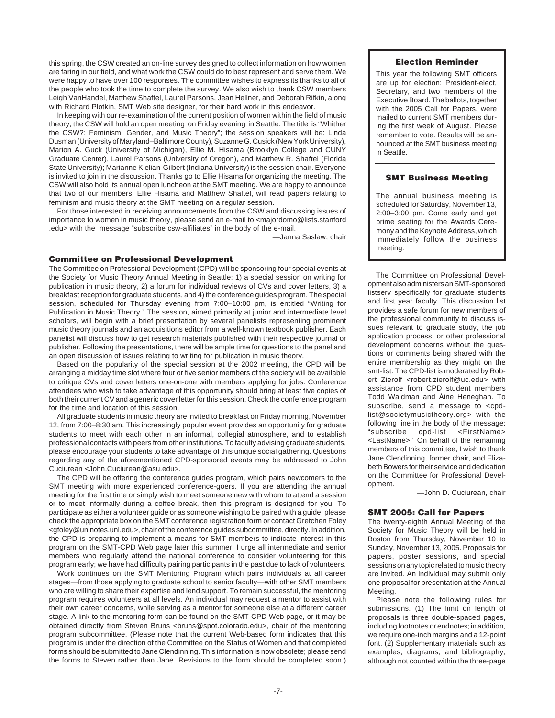this spring, the CSW created an on-line survey designed to collect information on how women are faring in our field, and what work the CSW could do to best represent and serve them. We were happy to have over 100 responses. The committee wishes to express its thanks to all of the people who took the time to complete the survey. We also wish to thank CSW members Leigh VanHandel, Matthew Shaftel, Laurel Parsons, Jean Hellner, and Deborah Rifkin, along with Richard Plotkin, SMT Web site designer, for their hard work in this endeavor.

In keeping with our re-examination of the current position of women within the field of music theory, the CSW will hold an open meeting on Friday evening in Seattle. The title is "Whither the CSW?: Feminism, Gender, and Music Theory"; the session speakers will be: Linda Dusman (University of Maryland–Baltimore County), Suzanne G. Cusick (New York University), Marion A. Guck (University of Michigan), Ellie M. Hisama (Brooklyn College and CUNY Graduate Center), Laurel Parsons (University of Oregon), and Matthew R. Shaftel (Florida State University); Marianne Kielian-Gilbert (Indiana University) is the session chair. Everyone is invited to join in the discussion. Thanks go to Ellie Hisama for organizing the meeting. The CSW will also hold its annual open luncheon at the SMT meeting. We are happy to announce that two of our members, Ellie Hisama and Matthew Shaftel, will read papers relating to feminism and music theory at the SMT meeting on a regular session.

For those interested in receiving announcements from the CSW and discussing issues of importance to women in music theory, please send an e-mail to <majordomo@lists.stanford .edu> with the message "subscribe csw-affiliates" in the body of the e-mail.

—Janna Saslaw, chair

### **Committee on Professional Development**

The Committee on Professional Development (CPD) will be sponsoring four special events at the Society for Music Theory Annual Meeting in Seattle: 1) a special session on writing for publication in music theory, 2) a forum for individual reviews of CVs and cover letters, 3) a breakfast reception for graduate students, and 4) the conference guides program. The special session, scheduled for Thursday evening from 7:00–10:00 pm, is entitled "Writing for Publication in Music Theory." The session, aimed primarily at junior and intermediate level scholars, will begin with a brief presentation by several panelists representing prominent music theory journals and an acquisitions editor from a well-known textbook publisher. Each panelist will discuss how to get research materials published with their respective journal or publisher. Following the presentations, there will be ample time for questions to the panel and an open discussion of issues relating to writing for publication in music theory.

Based on the popularity of the special session at the 2002 meeting, the CPD will be arranging a midday time slot where four or five senior members of the society will be available to critique CVs and cover letters one-on-one with members applying for jobs. Conference attendees who wish to take advantage of this opportunity should bring at least five copies of both their current CV and a generic cover letter for this session. Check the conference program for the time and location of this session.

All graduate students in music theory are invited to breakfast on Friday morning, November 12, from 7:00–8:30 am. This increasingly popular event provides an opportunity for graduate students to meet with each other in an informal, collegial atmosphere, and to establish professional contacts with peers from other institutions. To faculty advising graduate students, please encourage your students to take advantage of this unique social gathering. Questions regarding any of the aforementioned CPD-sponsored events may be addressed to John Cuciurean <John.Cuciurean@asu.edu>.

The CPD will be offering the conference guides program, which pairs newcomers to the SMT meeting with more experienced conference-goers. If you are attending the annual meeting for the first time or simply wish to meet someone new with whom to attend a session or to meet informally during a coffee break, then this program is designed for you. To participate as either a volunteer guide or as someone wishing to be paired with a guide, please check the appropriate box on the SMT conference registration form or contact Gretchen Foley <gfoley@unlnotes.unl.edu>, chair of the conference guides subcommittee, directly. In addition, the CPD is preparing to implement a means for SMT members to indicate interest in this program on the SMT-CPD Web page later this summer. I urge all intermediate and senior members who regularly attend the national conference to consider volunteering for this program early; we have had difficulty pairing participants in the past due to lack of volunteers.

Work continues on the SMT Mentoring Program which pairs individuals at all career stages—from those applying to graduate school to senior faculty—with other SMT members who are willing to share their expertise and lend support. To remain successful, the mentoring program requires volunteers at all levels. An individual may request a mentor to assist with their own career concerns, while serving as a mentor for someone else at a different career stage. A link to the mentoring form can be found on the SMT-CPD Web page, or it may be obtained directly from Steven Bruns <bruns@spot.colorado.edu>, chair of the mentoring program subcommittee. (Please note that the current Web-based form indicates that this program is under the direction of the Committee on the Status of Women and that completed forms should be submitted to Jane Clendinning. This information is now obsolete; please send the forms to Steven rather than Jane. Revisions to the form should be completed soon.)

### **Election Reminder**

This year the following SMT officers are up for election: President-elect, Secretary, and two members of the Executive Board. The ballots, together with the 2005 Call for Papers, were mailed to current SMT members during the first week of August. Please remember to vote. Results will be announced at the SMT business meeting in Seattle.

# **SMT Business Meeting**

The annual business meeting is scheduled for Saturday, November 13, 2:00–3:00 pm. Come early and get prime seating for the Awards Ceremony and the Keynote Address, which immediately follow the business meeting.

The Committee on Professional Development also administers an SMT-sponsored listserv specifically for graduate students and first year faculty. This discussion list provides a safe forum for new members of the professional community to discuss issues relevant to graduate study, the job application process, or other professional development concerns without the questions or comments being shared with the entire membership as they might on the smt-list. The CPD-list is moderated by Robert Zierolf <robert.zierolf@uc.edu> with assistance from CPD student members Todd Waldman and Áine Heneghan. To subscribe, send a message to <cpdlist@societymusictheory.org> with the following line in the body of the message: "subscribe cpd-list <FirstName> <LastName>." On behalf of the remaining members of this committee, I wish to thank Jane Clendinning, former chair, and Elizabeth Bowers for their service and dedication on the Committee for Professional Development.

—John D. Cuciurean, chair

### **SMT 2005: Call for Papers**

The twenty-eighth Annual Meeting of the Society for Music Theory will be held in Boston from Thursday, November 10 to Sunday, November 13, 2005. Proposals for papers, poster sessions, and special sessions on any topic related to music theory are invited. An individual may submit only one proposal for presentation at the Annual Meeting.

Please note the following rules for submissions. (1) The limit on length of proposals is three double-spaced pages, including footnotes or endnotes; in addition, we require one-inch margins and a 12-point font. (2) Supplementary materials such as examples, diagrams, and bibliography, although not counted within the three-page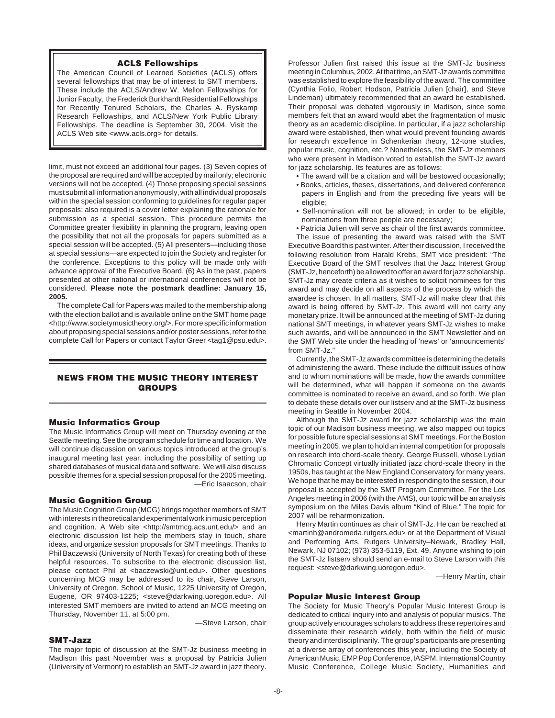### **ACLS Fellowships**

The American Council of Learned Societies (ACLS) offers several fellowships that may be of interest to SMT members. These include the ACLS/Andrew W. Mellon Fellowships for Junior Faculty, the Frederick Burkhardt Residential Fellowships for Recently Tenured Scholars, the Charles A. Ryskamp Research Fellowships, and ACLS/New York Public Library Fellowships. The deadline is September 30, 2004. Visit the ACLS Web site <www.acls.org> for details.

limit, must not exceed an additional four pages. (3) Seven copies of the proposal are required and will be accepted by mail only; electronic versions will not be accepted. (4) Those proposing special sessions must submit all information anonymously, with all individual proposals within the special session conforming to guidelines for regular paper proposals; also required is a cover letter explaining the rationale for submission as a special session. This procedure permits the Committee greater flexibility in planning the program, leaving open the possibility that not all the proposals for papers submitted as a special session will be accepted. (5) All presenters—including those at special sessions—are expected to join the Society and register for the conference. Exceptions to this policy will be made only with advance approval of the Executive Board. (6) As in the past, papers presented at other national or international conferences will not be considered. **Please note the postmark deadline: January 15, 2005.**

The complete Call for Papers was mailed to the membership along with the election ballot and is available online on the SMT home page <http://www.societymusictheory.org/>. For more specific information about proposing special sessions and/or poster sessions, refer to the complete Call for Papers or contact Taylor Greer <tag1@psu.edu>.

# **NEWS FROM THE MUSIC THEORY INTEREST GROUPS**

### **Music Informatics Group**

The Music Informatics Group will meet on Thursday evening at the Seattle meeting. See the program schedule for time and location. We will continue discussion on various topics introduced at the group's inaugural meeting last year, including the possibility of setting up shared databases of musical data and software. We will also discuss possible themes for a special session proposal for the 2005 meeting. —Eric Isaacson, chair

### **Music Gognition Group**

The Music Cognition Group (MCG) brings together members of SMT with interests in theoretical and experimental work in music perception and cognition. A Web site <http://smtmcg.acs.unt.edu/> and an electronic discussion list help the members stay in touch, share ideas, and organize session proposals for SMT meetings. Thanks to Phil Baczewski (University of North Texas) for creating both of these helpful resources. To subscribe to the electronic discussion list, please contact Phil at <baczewski@unt.edu>. Other questions concerning MCG may be addressed to its chair, Steve Larson, University of Oregon, School of Music, 1225 University of Oregon, Eugene, OR 97403-1225; <steve@darkwing.uoregon.edu>. All interested SMT members are invited to attend an MCG meeting on Thursday, November 11, at 5:00 pm.

—Steve Larson, chair

# **SMT-Jazz**

The major topic of discussion at the SMT-Jz business meeting in Madison this past November was a proposal by Patricia Julien (University of Vermont) to establish an SMT-Jz award in jazz theory.

Professor Julien first raised this issue at the SMT-Jz business meeting in Columbus, 2002. At that time, an SMT-Jz awards committee was established to explore the feasibility of the award. The committee (Cynthia Folio, Robert Hodson, Patricia Julien [chair], and Steve Lindeman) ultimately recommended that an award be established. Their proposal was debated vigorously in Madison, since some members felt that an award would abet the fragmentation of music theory as an academic discipline. In particular, if a jazz scholarship award were established, then what would prevent founding awards for research excellence in Schenkerian theory, 12-tone studies, popular music, cognition, etc.? Nonetheless, the SMT-Jz members who were present in Madison voted to establish the SMT-Jz award for jazz scholarship. Its features are as follows:

- The award will be a citation and will be bestowed occasionally;
- Books, articles, theses, dissertations, and delivered conference papers in English and from the preceding five years will be eligible;
- Self-nomination will not be allowed; in order to be eligible, nominations from three people are necessary;

• Patricia Julien will serve as chair of the first awards committee. The issue of presenting the award was raised with the SMT Executive Board this past winter. After their discussion, I received the following resolution from Harald Krebs, SMT vice president: "The Executive Board of the SMT resolves that the Jazz Interest Group (SMT-Jz, henceforth) be allowed to offer an award for jazz scholarship. SMT-Jz may create criteria as it wishes to solicit nominees for this award and may decide on all aspects of the process by which the awardee is chosen. In all matters, SMT-Jz will make clear that this award is being offered by SMT-Jz. This award will not carry any monetary prize. It will be announced at the meeting of SMT-Jz during national SMT meetings, in whatever years SMT-Jz wishes to make such awards, and will be announced in the SMT Newsletter and on the SMT Web site under the heading of 'news' or 'announcements' from SMT-Jz."

Currently, the SMT-Jz awards committee is determining the details of administering the award. These include the difficult issues of how and to whom nominations will be made, how the awards committee will be determined, what will happen if someone on the awards committee is nominated to receive an award, and so forth. We plan to debate these details over our listserv and at the SMT-Jz business meeting in Seattle in November 2004.

Although the SMT-Jz award for jazz scholarship was the main topic of our Madison business meeting, we also mapped out topics for possible future special sessions at SMT meetings. For the Boston meeting in 2005, we plan to hold an internal competition for proposals on research into chord-scale theory. George Russell, whose Lydian Chromatic Concept virtually initiated jazz chord-scale theory in the 1950s, has taught at the New England Conservatory for many years. We hope that he may be interested in responding to the session, if our proposal is accepted by the SMT Program Committee. For the Los Angeles meeting in 2006 (with the AMS), our topic will be an analysis symposium on the Miles Davis album "Kind of Blue." The topic for 2007 will be reharmonization.

Henry Martin continues as chair of SMT-Jz. He can be reached at <martinh@andromeda.rutgers.edu> or at the Department of Visual and Performing Arts, Rutgers University–Newark, Bradley Hall, Newark, NJ 07102; (973) 353-5119, Ext. 49. Anyone wishing to join the SMT-Jz listserv should send an e-mail to Steve Larson with this request: <steve@darkwing.uoregon.edu>.

—Henry Martin, chair

# **Popular Music Interest Group**

The Society for Music Theory's Popular Music Interest Group is dedicated to critical inquiry into and analysis of popular musics. The group actively encourages scholars to address these repertoires and disseminate their research widely, both within the field of music theory and interdisciplinarily. The group's participants are presenting at a diverse array of conferences this year, including the Society of American Music, EMP Pop Conference, IASPM, International Country Music Conference, College Music Society, Humanities and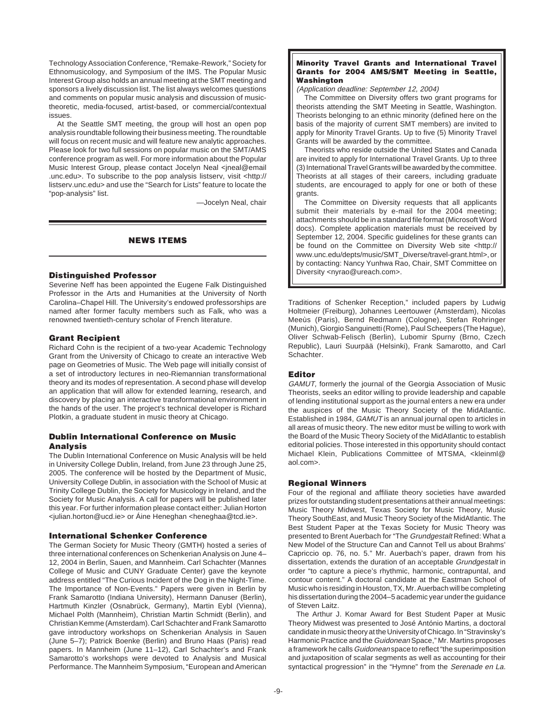Technology Association Conference, "Remake-Rework," Society for Ethnomusicology, and Symposium of the IMS. The Popular Music Interest Group also holds an annual meeting at the SMT meeting and sponsors a lively discussion list. The list always welcomes questions and comments on popular music analysis and discussion of musictheoretic, media-focused, artist-based, or commercial/contextual issues.

At the Seattle SMT meeting, the group will host an open pop analysis roundtable following their business meeting. The roundtable will focus on recent music and will feature new analytic approaches. Please look for two full sessions on popular music on the SMT/AMS conference program as well. For more information about the Popular Music Interest Group, please contact Jocelyn Neal <jneal@email .unc.edu>. To subscribe to the pop analysis listserv, visit <http:// listserv.unc.edu> and use the "Search for Lists" feature to locate the "pop-analysis" list.

—Jocelyn Neal, chair

# **NEWS ITEMS**

### **Distinguished Professor**

Severine Neff has been appointed the Eugene Falk Distinguished Professor in the Arts and Humanities at the University of North Carolina–Chapel Hill. The University's endowed professorships are named after former faculty members such as Falk, who was a renowned twentieth-century scholar of French literature.

# **Grant Recipient**

Richard Cohn is the recipient of a two-year Academic Technology Grant from the University of Chicago to create an interactive Web page on Geometries of Music. The Web page will initially consist of a set of introductory lectures in neo-Riemannian transformational theory and its modes of representation. A second phase will develop an application that will allow for extended learning, research, and discovery by placing an interactive transformational environment in the hands of the user. The project's technical developer is Richard Plotkin, a graduate student in music theory at Chicago.

# **Dublin International Conference on Music Analysis**

The Dublin International Conference on Music Analysis will be held in University College Dublin, Ireland, from June 23 through June 25, 2005. The conference will be hosted by the Department of Music, University College Dublin, in association with the School of Music at Trinity College Dublin, the Society for Musicology in Ireland, and the Society for Music Analysis. A call for papers will be published later this year. For further information please contact either: Julian Horton <julian.horton@ucd.ie> or Áine Heneghan <heneghaa@tcd.ie>.

### **International Schenker Conference**

The German Society for Music Theory (GMTH) hosted a series of three international conferences on Schenkerian Analysis on June 4– 12, 2004 in Berlin, Sauen, and Mannheim. Carl Schachter (Mannes College of Music and CUNY Graduate Center) gave the keynote address entitled "The Curious Incident of the Dog in the Night-Time. The Importance of Non-Events." Papers were given in Berlin by Frank Samarotto (Indiana University), Hermann Danuser (Berlin), Hartmuth Kinzler (Osnabrück, Germany), Martin Eybl (Vienna), Michael Polth (Mannheim), Christian Martin Schmidt (Berlin), and Christian Kemme (Amsterdam). Carl Schachter and Frank Samarotto gave introductory workshops on Schenkerian Analysis in Sauen (June 5–7); Patrick Boenke (Berlin) and Bruno Haas (Paris) read papers. In Mannheim (June 11–12), Carl Schachter's and Frank Samarotto's workshops were devoted to Analysis and Musical Performance. The Mannheim Symposium, "European and American

### **Minority Travel Grants and International Travel Grants for 2004 AMS/SMT Meeting in Seattle, Washington**

(Application deadline: September 12, 2004)

The Committee on Diversity offers two grant programs for theorists attending the SMT Meeting in Seattle, Washington. Theorists belonging to an ethnic minority (defined here on the basis of the majority of current SMT members) are invited to apply for Minority Travel Grants. Up to five (5) Minority Travel Grants will be awarded by the committee.

Theorists who reside outside the United States and Canada are invited to apply for International Travel Grants. Up to three (3) International Travel Grants will be awarded by the committee. Theorists at all stages of their careers, including graduate students, are encouraged to apply for one or both of these grants.

The Committee on Diversity requests that all applicants submit their materials by e-mail for the 2004 meeting; attachments should be in a standard file format (Microsoft Word docs). Complete application materials must be received by September 12, 2004. Specific guidelines for these grants can be found on the Committee on Diversity Web site <http:// www.unc.edu/depts/music/SMT\_Diverse/travel-grant.html>, or by contacting: Nancy Yunhwa Rao, Chair, SMT Committee on Diversity <nyrao@ureach.com>.

Traditions of Schenker Reception," included papers by Ludwig Holtmeier (Freiburg), Johannes Leertouwer (Amsterdam), Nicolas Meeùs (Paris), Bernd Redmann (Cologne), Stefan Rohringer (Munich), Giorgio Sanguinetti (Rome), Paul Scheepers (The Hague), Oliver Schwab-Felisch (Berlin), Lubomir Spurny (Brno, Czech Republic), Lauri Suurpää (Helsinki), Frank Samarotto, and Carl Schachter.

# **Editor**

GAMUT, formerly the journal of the Georgia Association of Music Theorists, seeks an editor willing to provide leadership and capable of lending institutional support as the journal enters a new era under the auspices of the Music Theory Society of the MidAtlantic. Established in 1984, GAMUT is an annual journal open to articles in all areas of music theory. The new editor must be willing to work with the Board of the Music Theory Society of the MidAtlantic to establish editorial policies. Those interested in this opportunity should contact Michael Klein, Publications Committee of MTSMA, <kleinml@ aol.com>.

### **Regional Winners**

Four of the regional and affiliate theory societies have awarded prizes for outstanding student presentations at their annual meetings: Music Theory Midwest, Texas Society for Music Theory, Music Theory SouthEast, and Music Theory Society of the MidAtlantic. The Best Student Paper at the Texas Society for Music Theory was presented to Brent Auerbach for "The Grundgestalt Refined: What a New Model of the Structure Can and Cannot Tell us about Brahms' Capriccio op. 76, no. 5." Mr. Auerbach's paper, drawn from his dissertation, extends the duration of an acceptable Grundgestalt in order "to capture a piece's rhythmic, harmonic, contrapuntal, and contour content." A doctoral candidate at the Eastman School of Music who is residing in Houston, TX, Mr. Auerbach will be completing his dissertation during the 2004–5 academic year under the guidance of Steven Laitz.

The Arthur J. Komar Award for Best Student Paper at Music Theory Midwest was presented to José António Martins, a doctoral candidate in music theory at the University of Chicago. In "Stravinsky's Harmonic Practice and the Guidonean Space," Mr. Martins proposes a framework he calls Guidonean space to reflect "the superimposition and juxtaposition of scalar segments as well as accounting for their syntactical progression" in the "Hymne" from the Serenade en La.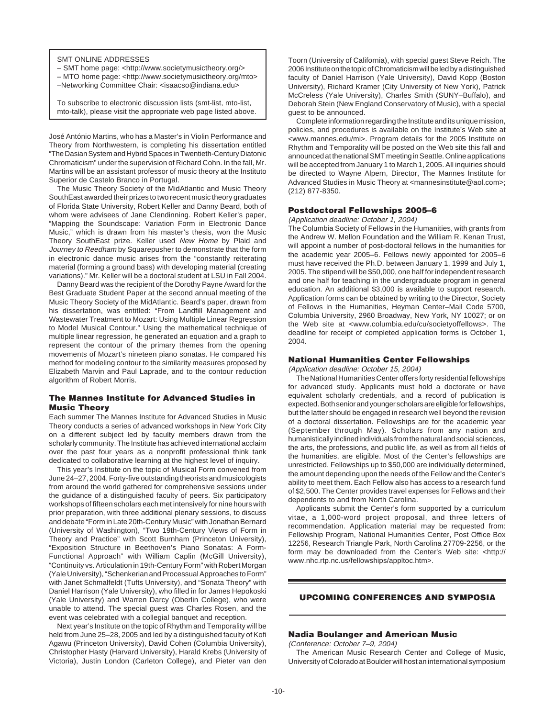SMT ONLINE ADDRESSES

– SMT home page: <http://www.societymusictheory.org/>

– MTO home page: <http://www.societymusictheory.org/mto>

–Networking Committee Chair: <isaacso@indiana.edu>

To subscribe to electronic discussion lists (smt-list, mto-list, mto-talk), please visit the appropriate web page listed above.

José António Martins, who has a Master's in Violin Performance and Theory from Northwestern, is completing his dissertation entitled "The Dasian System and Hybrid Spaces in Twentieth-Century Diatonic Chromaticism" under the supervision of Richard Cohn. In the fall, Mr. Martins will be an assistant professor of music theory at the Instituto Superior de Castelo Branco in Portugal.

The Music Theory Society of the MidAtlantic and Music Theory SouthEast awarded their prizes to two recent music theory graduates of Florida State University, Robert Keller and Danny Beard, both of whom were advisees of Jane Clendinning. Robert Keller's paper, "Mapping the Soundscape: Variation Form in Electronic Dance Music," which is drawn from his master's thesis, won the Music Theory SouthEast prize. Keller used New Home by Plaid and Journey to Reedham by Squarepusher to demonstrate that the form in electronic dance music arises from the "constantly reiterating material (forming a ground bass) with developing material (creating variations)." Mr. Keller will be a doctoral student at LSU in Fall 2004.

Danny Beard was the recipient of the Dorothy Payne Award for the Best Graduate Student Paper at the second annual meeting of the Music Theory Society of the MidAtlantic. Beard's paper, drawn from his dissertation, was entitled: "From Landfill Management and Wastewater Treatment to Mozart: Using Multiple Linear Regression to Model Musical Contour." Using the mathematical technique of multiple linear regression, he generated an equation and a graph to represent the contour of the primary themes from the opening movements of Mozart's nineteen piano sonatas. He compared his method for modeling contour to the similarity measures proposed by Elizabeth Marvin and Paul Laprade, and to the contour reduction algorithm of Robert Morris.

# **The Mannes Institute for Advanced Studies in Music Theory**

Each summer The Mannes Institute for Advanced Studies in Music Theory conducts a series of advanced workshops in New York City on a different subject led by faculty members drawn from the scholarly community. The Institute has achieved international acclaim over the past four years as a nonprofit professional think tank dedicated to collaborative learning at the highest level of inquiry.

This year's Institute on the topic of Musical Form convened from June 24–27, 2004. Forty-five outstanding theorists and musicologists from around the world gathered for comprehensive sessions under the guidance of a distinguished faculty of peers. Six participatory workshops of fifteen scholars each met intensively for nine hours with prior preparation, with three additional plenary sessions, to discuss and debate "Form in Late 20th-Century Music" with Jonathan Bernard (University of Washington), "Two 19th-Century Views of Form in Theory and Practice" with Scott Burnham (Princeton University), "Exposition Structure in Beethoven's Piano Sonatas: A Form-Functional Approach" with William Caplin (McGill University), "Continuity vs. Articulation in 19th-Century Form" with Robert Morgan (Yale University), "Schenkerian and Processual Approaches to Form" with Janet Schmalfeldt (Tufts University), and "Sonata Theory" with Daniel Harrison (Yale University), who filled in for James Hepokoski (Yale University) and Warren Darcy (Oberlin College), who were unable to attend. The special guest was Charles Rosen, and the event was celebrated with a collegial banquet and reception.

Next year's Institute on the topic of Rhythm and Temporality will be held from June 25–28, 2005 and led by a distinguished faculty of Kofi Agawu (Princeton University), David Cohen (Columbia University), Christopher Hasty (Harvard University), Harald Krebs (University of Victoria), Justin London (Carleton College), and Pieter van den Toorn (University of California), with special guest Steve Reich. The 2006 Institute on the topic of Chromaticism will be led by a distinguished faculty of Daniel Harrison (Yale University), David Kopp (Boston University), Richard Kramer (City University of New York), Patrick McCreless (Yale University), Charles Smith (SUNY–Buffalo), and Deborah Stein (New England Conservatory of Music), with a special guest to be announced.

Complete information regarding the Institute and its unique mission, policies, and procedures is available on the Institute's Web site at <www.mannes.edu/mi>. Program details for the 2005 Institute on Rhythm and Temporality will be posted on the Web site this fall and announced at the national SMT meeting in Seattle. Online applications will be accepted from January 1 to March 1, 2005. All inquiries should be directed to Wayne Alpern, Director, The Mannes Institute for Advanced Studies in Music Theory at <mannesinstitute@aol.com>; (212) 877-8350.

### **Postdoctoral Fellowships 2005–6**

(Application deadline: October 1, 2004)

The Columbia Society of Fellows in the Humanities, with grants from the Andrew W. Mellon Foundation and the William R. Kenan Trust, will appoint a number of post-doctoral fellows in the humanities for the academic year 2005–6. Fellows newly appointed for 2005–6 must have received the Ph.D. between January 1, 1999 and July 1, 2005. The stipend will be \$50,000, one half for independent research and one half for teaching in the undergraduate program in general education. An additional \$3,000 is available to support research. Application forms can be obtained by writing to the Director, Society of Fellows in the Humanities, Heyman Center–Mail Code 5700, Columbia University, 2960 Broadway, New York, NY 10027; or on the Web site at <www.columbia.edu/cu/societyoffellows>. The deadline for receipt of completed application forms is October 1, 2004.

### **National Humanities Center Fellowships**

(Application deadline: October 15, 2004)

The National Humanities Center offers forty residential fellowships for advanced study. Applicants must hold a doctorate or have equivalent scholarly credentials, and a record of publication is expected. Both senior and younger scholars are eligible for fellowships, but the latter should be engaged in research well beyond the revision of a doctoral dissertation. Fellowships are for the academic year (September through May). Scholars from any nation and humanistically inclined individuals from the natural and social sciences, the arts, the professions, and public life, as well as from all fields of the humanities, are eligible. Most of the Center's fellowships are unrestricted. Fellowships up to \$50,000 are individually determined, the amount depending upon the needs of the Fellow and the Center's ability to meet them. Each Fellow also has access to a research fund of \$2,500. The Center provides travel expenses for Fellows and their dependents to and from North Carolina.

Applicants submit the Center's form supported by a curriculum vitae, a 1,000-word project proposal, and three letters of recommendation. Application material may be requested from: Fellowship Program, National Humanities Center, Post Office Box 12256, Research Triangle Park, North Carolina 27709-2256, or the form may be downloaded from the Center's Web site: <http:// www.nhc.rtp.nc.us/fellowships/appltoc.htm>.

# **UPCOMING CONFERENCES AND SYMPOSIA**

# **Nadia Boulanger and American Music**

(Conference: October 7–9, 2004)

The American Music Research Center and College of Music, University of Colorado at Boulder will host an international symposium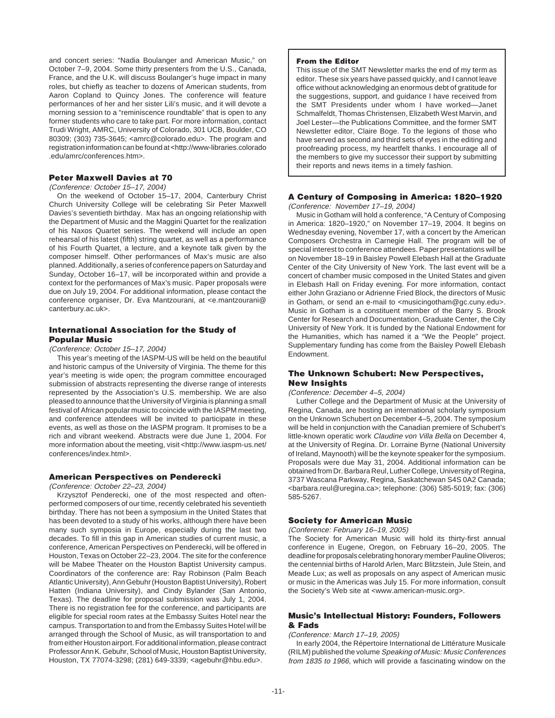and concert series: "Nadia Boulanger and American Music," on October 7–9, 2004. Some thirty presenters from the U.S., Canada, France, and the U.K. will discuss Boulanger's huge impact in many roles, but chiefly as teacher to dozens of American students, from Aaron Copland to Quincy Jones. The conference will feature performances of her and her sister Lili's music, and it will devote a morning session to a "reminiscence roundtable" that is open to any former students who care to take part. For more information, contact Trudi Wright, AMRC, University of Colorado, 301 UCB, Boulder, CO 80309; (303) 735-3645; <amrc@colorado.edu>. The program and registration information can be found at <http://www-libraries.colorado .edu/amrc/conferences.htm>.

# **Peter Maxwell Davies at 70**

### (Conference: October 15–17, 2004)

On the weekend of October 15–17, 2004, Canterbury Christ Church University College will be celebrating Sir Peter Maxwell Davies's seventieth birthday. Max has an ongoing relationship with the Department of Music and the Maggini Quartet for the realization of his Naxos Quartet series. The weekend will include an open rehearsal of his latest (fifth) string quartet, as well as a performance of his Fourth Quartet, a lecture, and a keynote talk given by the composer himself. Other performances of Max's music are also planned. Additionally, a series of conference papers on Saturday and Sunday, October 16–17, will be incorporated within and provide a context for the performances of Max's music. Paper proposals were due on July 19, 2004. For additional information, please contact the conference organiser, Dr. Eva Mantzourani, at <e.mantzourani@ canterbury.ac.uk>.

# **International Association for the Study of Popular Music**

### (Conference: October 15–17, 2004)

This year's meeting of the IASPM-US will be held on the beautiful and historic campus of the University of Virginia. The theme for this year's meeting is wide open; the program committee encouraged submission of abstracts representing the diverse range of interests represented by the Association's U.S. membership. We are also pleased to announce that the University of Virginia is planning a small festival of African popular music to coincide with the IASPM meeting, and conference attendees will be invited to participate in these events, as well as those on the IASPM program. It promises to be a rich and vibrant weekend. Abstracts were due June 1, 2004. For more information about the meeting, visit <http://www.iaspm-us.net/ conferences/index.html>.

### **American Perspectives on Penderecki**

(Conference: October 22–23, 2004)

Krzysztof Penderecki, one of the most respected and oftenperformed composers of our time, recently celebrated his seventieth birthday. There has not been a symposium in the United States that has been devoted to a study of his works, although there have been many such symposia in Europe, especially during the last two decades. To fill in this gap in American studies of current music, a conference, American Perspectives on Penderecki, will be offered in Houston, Texas on October 22–23, 2004. The site for the conference will be Mabee Theater on the Houston Baptist University campus. Coordinators of the conference are: Ray Robinson (Palm Beach Atlantic University), Ann Gebuhr (Houston Baptist University), Robert Hatten (Indiana University), and Cindy Bylander (San Antonio, Texas). The deadline for proposal submission was July 1, 2004. There is no registration fee for the conference, and participants are eligible for special room rates at the Embassy Suites Hotel near the campus. Transportation to and from the Embassy Suites Hotel will be arranged through the School of Music, as will transportation to and from either Houston airport. For additional information, please contract Professor Ann K. Gebuhr, School of Music, Houston Baptist University, Houston, TX 77074-3298; (281) 649-3339; <agebuhr@hbu.edu>.

### **From the Editor**

This issue of the SMT Newsletter marks the end of my term as editor. These six years have passed quickly, and I cannot leave office without acknowledging an enormous debt of gratitude for the suggestions, support, and guidance I have received from the SMT Presidents under whom I have worked—Janet Schmalfeldt, Thomas Christensen, Elizabeth West Marvin, and Joel Lester—the Publications Committee, and the former SMT Newsletter editor, Claire Boge. To the legions of those who have served as second and third sets of eyes in the editing and proofreading process, my heartfelt thanks. I encourage all of the members to give my successor their support by submitting their reports and news items in a timely fashion.

# **A Century of Composing in America: 1820–1920**

(Conference: November 17–19, 2004)

Music in Gotham will hold a conference, "A Century of Composing in America: 1820–1920," on November 17–19, 2004. It begins on Wednesday evening, November 17, with a concert by the American Composers Orchestra in Carnegie Hall. The program will be of special interest to conference attendees. Paper presentations will be on November 18–19 in Baisley Powell Elebash Hall at the Graduate Center of the City University of New York. The last event will be a concert of chamber music composed in the United States and given in Elebash Hall on Friday evening. For more information, contact either John Graziano or Adrienne Fried Block, the directors of Music in Gotham, or send an e-mail to <musicingotham@gc.cuny.edu>. Music in Gotham is a constituent member of the Barry S. Brook Center for Research and Documentation, Graduate Center, the City University of New York. It is funded by the National Endowment for the Humanities, which has named it a "We the People" project. Supplementary funding has come from the Baisley Powell Elebash Endowment.

# **The Unknown Schubert: New Perspectives, New Insights**

# (Conference: December 4–5, 2004)

Luther College and the Department of Music at the University of Regina, Canada, are hosting an international scholarly symposium on the Unknown Schubert on December 4–5, 2004. The symposium will be held in conjunction with the Canadian premiere of Schubert's little-known operatic work Claudine von Villa Bella on December 4, at the University of Regina. Dr. Lorraine Byrne (National University of Ireland, Maynooth) will be the keynote speaker for the symposium. Proposals were due May 31, 2004. Additional information can be obtained from Dr. Barbara Reul, Luther College, University of Regina, 3737 Wascana Parkway, Regina, Saskatchewan S4S 0A2 Canada; <barbara.reul@uregina.ca>; telephone: (306) 585-5019; fax: (306) 585-5267.

### **Society for American Music**

(Conference: February 16–19, 2005)

The Society for American Music will hold its thirty-first annual conference in Eugene, Oregon, on February 16–20, 2005. The deadline for proposals celebrating honorary member Pauline Oliveros; the centennial births of Harold Arlen, Marc Blitzstein, Jule Stein, and Meade Lux; as well as proposals on any aspect of American music or music in the Americas was July 15. For more information, consult the Society's Web site at <www.american-music.org>.

# **Music's Intellectual History: Founders, Followers & Fads**

### (Conference: March 17–19, 2005)

In early 2004, the Répertoire International de Littérature Musicale (RILM) published the volume Speaking of Music: Music Conferences from 1835 to 1966, which will provide a fascinating window on the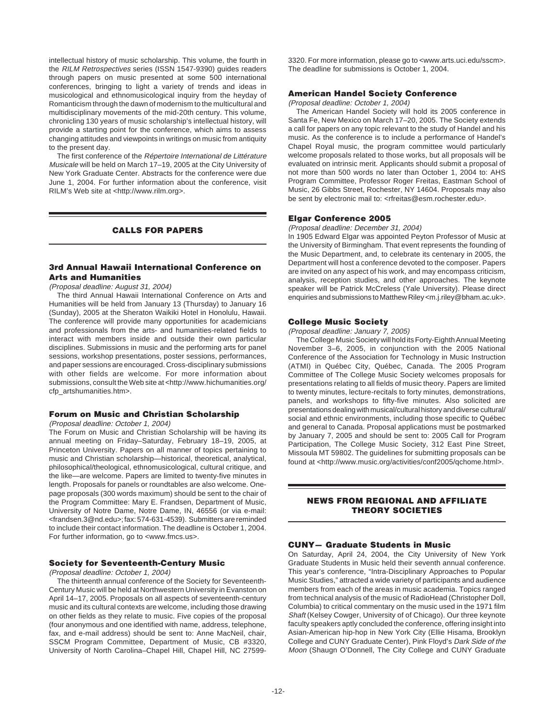intellectual history of music scholarship. This volume, the fourth in the RILM Retrospectives series (ISSN 1547-9390) guides readers through papers on music presented at some 500 international conferences, bringing to light a variety of trends and ideas in musicological and ethnomusicological inquiry from the heyday of Romanticism through the dawn of modernism to the multicultural and multidisciplinary movements of the mid-20th century. This volume, chronicling 130 years of music scholarship's intellectual history, will provide a starting point for the conference, which aims to assess changing attitudes and viewpoints in writings on music from antiquity to the present day.

The first conference of the Répertoire International de Littérature Musicale will be held on March 17–19, 2005 at the City University of New York Graduate Center. Abstracts for the conference were due June 1, 2004. For further information about the conference, visit RILM's Web site at <http://www.rilm.org>.

# **CALLS FOR PAPERS**

# **3rd Annual Hawaii International Conference on Arts and Humanities**

### (Proposal deadline: August 31, 2004)

The third Annual Hawaii International Conference on Arts and Humanities will be held from January 13 (Thursday) to January 16 (Sunday), 2005 at the Sheraton Waikiki Hotel in Honolulu, Hawaii. The conference will provide many opportunities for academicians and professionals from the arts- and humanities-related fields to interact with members inside and outside their own particular disciplines. Submissions in music and the performing arts for panel sessions, workshop presentations, poster sessions, performances, and paper sessions are encouraged. Cross-disciplinary submissions with other fields are welcome. For more information about submissions, consult the Web site at <http://www.hichumanities.org/ cfp\_artshumanities.htm>.

# **Forum on Music and Christian Scholarship**

### (Proposal deadline: October 1, 2004)

The Forum on Music and Christian Scholarship will be having its annual meeting on Friday–Saturday, February 18–19, 2005, at Princeton University. Papers on all manner of topics pertaining to music and Christian scholarship—historical, theoretical, analytical, philosophical/theological, ethnomusicological, cultural critique, and the like—are welcome. Papers are limited to twenty-five minutes in length. Proposals for panels or roundtables are also welcome. Onepage proposals (300 words maximum) should be sent to the chair of the Program Committee: Mary E. Frandsen, Department of Music, University of Notre Dame, Notre Dame, IN, 46556 (or via e-mail: <frandsen.3@nd.edu>; fax: 574-631-4539). Submitters are reminded to include their contact information. The deadline is October 1, 2004. For further information, go to <www.fmcs.us>.

# **Society for Seventeenth-Century Music**

# (Proposal deadline: October 1, 2004)

The thirteenth annual conference of the Society for Seventeenth-Century Music will be held at Northwestern University in Evanston on April 14–17, 2005. Proposals on all aspects of seventeenth-century music and its cultural contexts are welcome, including those drawing on other fields as they relate to music. Five copies of the proposal (four anonymous and one identified with name, address, telephone, fax, and e-mail address) should be sent to: Anne MacNeil, chair, SSCM Program Committee, Department of Music, CB #3320, University of North Carolina–Chapel Hill, Chapel Hill, NC 275993320. For more information, please go to <www.arts.uci.edu/sscm>. The deadline for submissions is October 1, 2004.

### **American Handel Society Conference**

(Proposal deadline: October 1, 2004)

The American Handel Society will hold its 2005 conference in Santa Fe, New Mexico on March 17–20, 2005. The Society extends a call for papers on any topic relevant to the study of Handel and his music. As the conference is to include a performance of Handel's Chapel Royal music, the program committee would particularly welcome proposals related to those works, but all proposals will be evaluated on intrinsic merit. Applicants should submit a proposal of not more than 500 words no later than October 1, 2004 to: AHS Program Committee, Professor Roger Freitas, Eastman School of Music, 26 Gibbs Street, Rochester, NY 14604. Proposals may also be sent by electronic mail to: <rfreitas@esm.rochester.edu>.

### **Elgar Conference 2005**

### (Proposal deadline: December 31, 2004)

In 1905 Edward Elgar was appointed Peyton Professor of Music at the University of Birmingham. That event represents the founding of the Music Department, and, to celebrate its centenary in 2005, the Department will host a conference devoted to the composer. Papers are invited on any aspect of his work, and may encompass criticism, analysis, reception studies, and other approaches. The keynote speaker will be Patrick McCreless (Yale University). Please direct enquiries and submissions to Matthew Riley <m.j.riley@bham.ac.uk>.

### **College Music Society**

# (Proposal deadline: January 7, 2005)

The College Music Society will hold its Forty-Eighth Annual Meeting November 3–6, 2005, in conjunction with the 2005 National Conference of the Association for Technology in Music Instruction (ATMI) in Québec City, Québec, Canada. The 2005 Program Committee of The College Music Society welcomes proposals for presentations relating to all fields of music theory. Papers are limited to twenty minutes, lecture-recitals to forty minutes, demonstrations, panels, and workshops to fifty-five minutes. Also solicited are presentations dealing with musical/cultural history and diverse cultural/ social and ethnic environments, including those specific to Québec and general to Canada. Proposal applications must be postmarked by January 7, 2005 and should be sent to: 2005 Call for Program Participation, The College Music Society, 312 East Pine Street, Missoula MT 59802. The guidelines for submitting proposals can be found at <http://www.music.org/activities/conf2005/qchome.html>.

# **NEWS FROM REGIONAL AND AFFILIATE THEORY SOCIETIES**

### **CUNY— Graduate Students in Music**

On Saturday, April 24, 2004, the City University of New York Graduate Students in Music held their seventh annual conference. This year's conference, "Intra-Disciplinary Approaches to Popular Music Studies," attracted a wide variety of participants and audience members from each of the areas in music academia. Topics ranged from technical analysis of the music of RadioHead (Christopher Doll, Columbia) to critical commentary on the music used in the 1971 film Shaft (Kelsey Cowger, University of of Chicago). Our three keynote faculty speakers aptly concluded the conference, offering insight into Asian-American hip-hop in New York City (Ellie Hisama, Brooklyn College and CUNY Graduate Center), Pink Floyd's Dark Side of the Moon (Shaugn O'Donnell, The City College and CUNY Graduate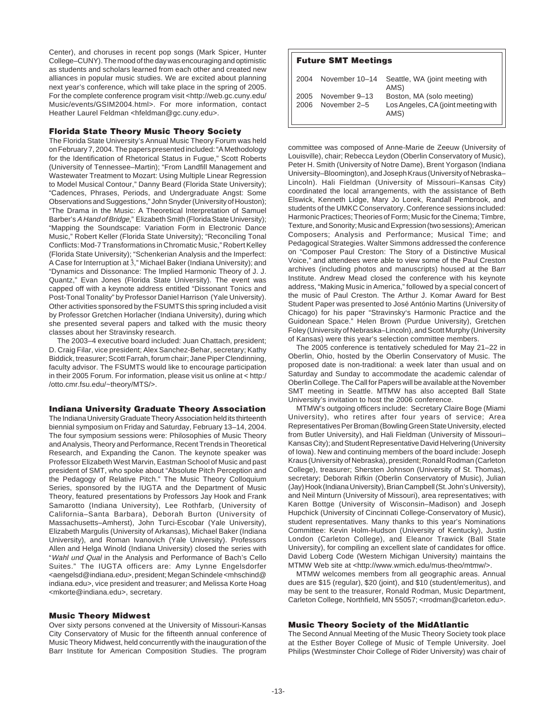Center), and choruses in recent pop songs (Mark Spicer, Hunter College–CUNY). The mood of the day was encouraging and optimistic as students and scholars learned from each other and created new alliances in popular music studies. We are excited about planning next year's conference, which will take place in the spring of 2005. For the complete conference program visit <http://web.gc.cuny.edu/ Music/events/GSIM2004.html>. For more information, contact Heather Laurel Feldman <hfeldman@gc.cuny.edu>.

### **Florida State Theory Music Theory Society**

The Florida State University's Annual Music Theory Forum was held on February 7, 2004. The papers presented included: "A Methodology for the Identification of Rhetorical Status in Fugue," Scott Roberts (University of Tennessee–Martin); "From Landfill Management and Wastewater Treatment to Mozart: Using Multiple Linear Regression to Model Musical Contour," Danny Beard (Florida State University); "Cadences, Phrases, Periods, and Undergraduate Angst: Some Observations and Suggestions," John Snyder (University of Houston); "The Drama in the Music: A Theoretical Interpretation of Samuel Barber's A Hand of Bridge," Elizabeth Smith (Florida State University); "Mapping the Soundscape: Variation Form in Electronic Dance Music," Robert Keller (Florida State University); "Reconciling Tonal Conflicts: Mod-7 Transformations in Chromatic Music," Robert Kelley (Florida State University); "Schenkerian Analysis and the Imperfect: A Case for Interruption at  $\hat{3}$ ," Michael Baker (Indiana University); and "Dynamics and Dissonance: The Implied Harmonic Theory of J. J. Quantz," Evan Jones (Florida State University). The event was capped off with a keynote address entitled "Dissonant Tonics and Post-Tonal Tonality" by Professor Daniel Harrison (Yale University). Other activities sponsored by the FSUMTS this spring included a visit by Professor Gretchen Horlacher (Indiana University), during which she presented several papers and talked with the music theory classes about her Stravinsky research.

The 2003–4 executive board included: Juan Chattach, president; D. Craig Filar, vice president; Alex Sanchez-Behar, secretary; Kathy Biddick, treasurer; Scott Farrah, forum chair; Jane Piper Clendinning, faculty advisor. The FSUMTS would like to encourage participation in their 2005 Forum. For information, please visit us online at < http:/ /otto.cmr.fsu.edu/~theory/MTS/>.

### **Indiana University Graduate Theory Association**

The Indiana University Graduate Theory Association held its thirteenth biennial symposium on Friday and Saturday, February 13–14, 2004. The four symposium sessions were: Philosophies of Music Theory and Analysis, Theory and Performance, Recent Trends in Theoretical Research, and Expanding the Canon. The keynote speaker was Professor Elizabeth West Marvin, Eastman School of Music and past president of SMT, who spoke about "Absolute Pitch Perception and the Pedagogy of Relative Pitch." The Music Theory Colloquium Series, sponsored by the IUGTA and the Department of Music Theory, featured presentations by Professors Jay Hook and Frank Samarotto (Indiana University), Lee Rothfarb, (University of California–Santa Barbara), Deborah Burton (University of Massachusetts–Amherst), John Turci-Escobar (Yale University), Elizabeth Margulis (University of Arkansas), Michael Baker (Indiana University), and Roman Ivanovich (Yale University). Professors Allen and Helga Winold (Indiana University) closed the series with "Wahl und Qual in the Analysis and Performance of Bach's Cello Suites." The IUGTA officers are: Amy Lynne Engelsdorfer <aengelsd@indiana.edu>, president; Megan Schindele <mhschind@ indiana.edu>, vice president and treasurer; and Melissa Korte Hoag <mkorte@indiana.edu>, secretary.

### **Music Theory Midwest**

Over sixty persons convened at the University of Missouri-Kansas City Conservatory of Music for the fifteenth annual conference of Music Theory Midwest, held concurrently with the inauguration of the Barr Institute for American Composition Studies. The program

| <b>Future SMT Meetings</b> |                               |                                                                          |  |  |
|----------------------------|-------------------------------|--------------------------------------------------------------------------|--|--|
| 2004                       | November 10-14                | Seattle, WA (joint meeting with<br>AMS)                                  |  |  |
| 2005<br>2006               | November 9-13<br>November 2-5 | Boston, MA (solo meeting)<br>Los Angeles, CA (joint meeting with<br>AMS) |  |  |

committee was composed of Anne-Marie de Zeeuw (University of Louisville), chair; Rebecca Leydon (Oberlin Conservatory of Music), Peter H. Smith (University of Notre Dame), Brent Yorgason (Indiana University–Bloomington), and Joseph Kraus (University of Nebraska– Lincoln). Hali Fieldman (University of Missouri–Kansas City) coordinated the local arrangements, with the assistance of Beth Elswick, Kenneth Lidge, Mary Jo Lorek, Randall Pembrook, and students of the UMKC Conservatory. Conference sessions included: Harmonic Practices; Theories of Form; Music for the Cinema; Timbre, Texture, and Sonority; Music and Expression (two sessions); American Composers; Analysis and Performance; Musical Time; and Pedagogical Strategies. Walter Simmons addressed the conference on "Composer Paul Creston: The Story of a Distinctive Musical Voice," and attendees were able to view some of the Paul Creston archives (including photos and manuscripts) housed at the Barr Institute. Andrew Mead closed the conference with his keynote address, "Making Music in America," followed by a special concert of the music of Paul Creston. The Arthur J. Komar Award for Best Student Paper was presented to José António Martins (University of Chicago) for his paper "Stravinsky's Harmonic Practice and the Guidonean Space." Helen Brown (Purdue University), Gretchen Foley (University of Nebraska–Lincoln), and Scott Murphy (University of Kansas) were this year's selection committee members.

The 2005 conference is tentatively scheduled for May 21–22 in Oberlin, Ohio, hosted by the Oberlin Conservatory of Music. The proposed date is non-traditional: a week later than usual and on Saturday and Sunday to accommodate the academic calendar of Oberlin College. The Call for Papers will be available at the November SMT meeting in Seattle. MTMW has also accepted Ball State University's invitation to host the 2006 conference.

MTMW's outgoing officers include: Secretary Claire Boge (Miami University), who retires after four years of service; Area Representatives Per Broman (Bowling Green State University, elected from Butler University), and Hali Fieldman (University of Missouri– Kansas City); and Student Representative David Helvering (University of Iowa). New and continuing members of the board include: Joseph Kraus (University of Nebraska), president; Ronald Rodman (Carleton College), treasurer; Shersten Johnson (University of St. Thomas), secretary; Deborah Rifkin (Oberlin Conservatory of Music), Julian (Jay) Hook (Indiana University), Brian Campbell (St. John's University), and Neil Minturn (University of Missouri), area representatives; with Karen Bottge (University of Wisconsin–Madison) and Joseph Hupchick (University of Cincinnati College-Conservatory of Music), student representatives. Many thanks to this year's Nominations Committee: Kevin Holm-Hudson (University of Kentucky), Justin London (Carleton College), and Eleanor Trawick (Ball State University), for compiling an excellent slate of candidates for office. David Loberg Code (Western Michigan University) maintains the MTMW Web site at <http://www.wmich.edu/mus-theo/mtmw/>.

MTMW welcomes members from all geographic areas. Annual dues are \$15 (regular), \$20 (joint), and \$10 (student/emeritus), and may be sent to the treasurer, Ronald Rodman, Music Department, Carleton College, Northfield, MN 55057; <rrodman@carleton.edu>.

### **Music Theory Society of the MidAtlantic**

The Second Annual Meeting of the Music Theory Society took place at the Esther Boyer College of Music of Temple University. Joel Philips (Westminster Choir College of Rider University) was chair of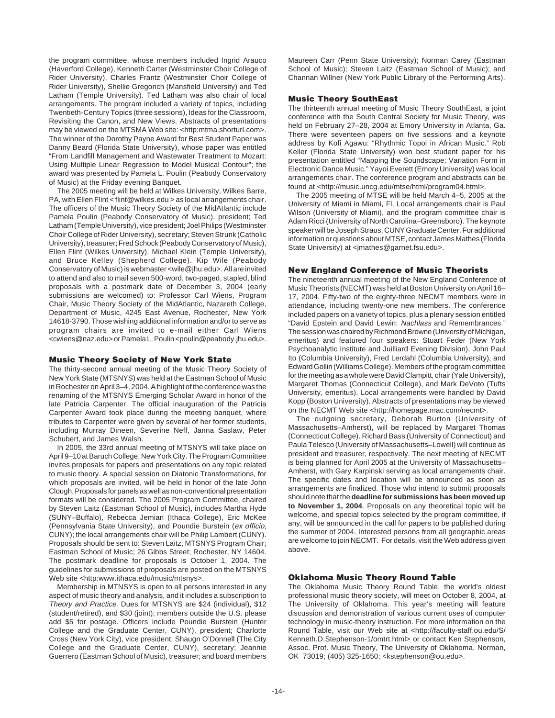the program committee, whose members included Ingrid Arauco (Haverford College), Kenneth Carter (Westminster Choir College of Rider University), Charles Frantz (Westminster Choir College of Rider University), Shellie Gregorich (Mansfield University) and Ted Latham (Temple University). Ted Latham was also chair of local arrangements. The program included a variety of topics, including Twentieth-Century Topics (three sessions), Ideas for the Classroom, Revisiting the Canon, and New Views. Abstracts of presentations may be viewed on the MTSMA Web site: <http:mtma.shorturl.com>. The winner of the Dorothy Payne Award for Best Student Paper was Danny Beard (Florida State University), whose paper was entitled "From Landfill Management and Wastewater Treatment to Mozart: Using Multiple Linear Regression to Model Musical Contour"; the award was presented by Pamela L. Poulin (Peabody Conservatory of Music) at the Friday evening Banquet.

The 2005 meeting will be held at Wilkes University, Wilkes Barre, PA, with Ellen Flint < flint@wilkes.edu > as local arrangements chair. The officers of the Music Theory Society of the MidAtlantic include Pamela Poulin (Peabody Conservatory of Music), president; Ted Latham (Temple University), vice president; Joel Philips (Westminster Choir College of Rider University), secretary; Steven Strunk (Catholic University), treasurer; Fred Schock (Peabody Conservatory of Music), Ellen Flint (Wilkes University), Michael Klein (Temple University), and Bruce Kelley (Shepherd College). Kip Wile (Peabody Conservatory of Music) is webmaster <wile@jhu.edu>. All are invited to attend and also to mail seven 500-word, two-paged, stapled, blind proposals with a postmark date of December 3, 2004 (early submissions are welcomed) to: Professor Carl Wiens, Program Chair, Music Theory Society of the MidAtlantic, Nazareth College, Department of Music, 4245 East Avenue, Rochester, New York 14618-3790. Those wishing additional information and/or to serve as program chairs are invited to e-mail either Carl Wiens <cwiens@naz.edu> or Pamela L. Poulin <poulin@peabody.jhu.edu>.

### **Music Theory Society of New York State**

The thirty-second annual meeting of the Music Theory Society of New York State (MTSNYS) was held at the Eastman School of Music in Rochester on April 3–4, 2004. A highlight of the conference was the renaming of the MTSNYS Emerging Scholar Award in honor of the late Patricia Carpenter. The official inauguration of the Patricia Carpenter Award took place during the meeting banquet, where tributes to Carpenter were given by several of her former students, including Murray Dineen, Severine Neff, Janna Saslaw, Peter Schubert, and James Walsh.

In 2005, the 33rd annual meeting of MTSNYS will take place on April 9–10 at Baruch College, New York City. The Program Committee invites proposals for papers and presentations on any topic related to music theory. A special session on Diatonic Transformations, for which proposals are invited, will be held in honor of the late John Clough. Proposals for panels as well as non-conventional presentation formats will be considered. The 2005 Program Committee, chaired by Steven Laitz (Eastman School of Music), includes Martha Hyde (SUNY–Buffalo), Rebecca Jemian (Ithaca College), Eric McKee (Pennsylvania State University), and Poundie Burstein (ex officio, CUNY); the local arrangements chair will be Philip Lambert (CUNY). Proposals should be sent to: Steven Laitz, MTSNYS Program Chair; Eastman School of Music; 26 Gibbs Street; Rochester, NY 14604. The postmark deadline for proposals is October 1, 2004. The guidelines for submissions of proposals are posted on the MTSNYS Web site <http:www.ithaca.edu/music/mtsnys>.

Membership in MTNSYS is open to all persons interested in any aspect of music theory and analysis, and it includes a subscription to Theory and Practice. Dues for MTSNYS are \$24 (individual), \$12 (student/retired), and \$30 (joint); members outside the U.S. please add \$5 for postage. Officers include Poundie Burstein (Hunter College and the Graduate Center, CUNY), president; Charlotte Cross (New York City), vice president; Shaugn O'Donnell (The City College and the Graduate Center, CUNY), secretary; Jeannie Guerrero (Eastman School of Music), treasurer; and board members

Maureen Carr (Penn State University); Norman Carey (Eastman School of Music); Steven Laitz (Eastman School of Music); and Channan Willner (New York Public Library of the Performing Arts).

### **Music Theory SouthEast**

The thirteenth annual meeting of Music Theory SouthEast, a joint conference with the South Central Society for Music Theory, was held on February 27–28, 2004 at Emory University in Atlanta, Ga. There were seventeen papers on five sessions and a keynote address by Kofi Agawu: "Rhythmic Topoi in African Music." Rob Keller (Florida State University) won best student paper for his presentation entitled "Mapping the Soundscape: Variation Form in Electronic Dance Music." Yayoi Everett (Emory University) was local arrangements chair. The conference program and abstracts can be found at <http://music.uncg.edu/mtse/html/program04.html>.

The 2005 meeting of MTSE will be held March 4–5, 2005 at the University of Miami in Miami, Fl. Local arrangements chair is Paul Wilson (University of Miami), and the program committee chair is Adam Ricci (University of North Carolina–Greensboro). The keynote speaker will be Joseph Straus, CUNY Graduate Center. For additional information or questions about MTSE, contact James Mathes (Florida State University) at <jmathes@garnet.fsu.edu>.

### **New England Conference of Music Theorists**

The nineteenth annual meeting of the New England Conference of Music Theorists (NECMT) was held at Boston University on April 16– 17, 2004. Fifty-two of the eighty-three NECMT members were in attendance, including twenty-one new members. The conference included papers on a variety of topics, plus a plenary session entitled "David Epstein and David Lewin: Nachlass and Remembrances." The session was chaired by Richmond Browne (University of Michigan, emeritus) and featured four speakers: Stuart Feder (New York Psychoanalytic Institute and Juilliard Evening Division), John Paul Ito (Columbia University), Fred Lerdahl (Columbia University), and Edward Gollin (Williams College). Members of the program committee for the meeting as a whole were David Clampitt, chair (Yale University), Margaret Thomas (Connecticut College), and Mark DeVoto (Tufts University, emeritus). Local arrangements were handled by David Kopp (Boston University). Abstracts of presentations may be viewed on the NECMT Web site <http://homepage.mac.com/necmt>.

The outgoing secretary, Deborah Burton (University of Massachusetts–Amherst), will be replaced by Margaret Thomas (Connecticut College). Richard Bass (University of Connecticut) and Paula Telesco (University of Massachusetts–Lowell) will continue as president and treasurer, respectively. The next meeting of NECMT is being planned for April 2005 at the University of Massachusetts– Amherst, with Gary Karpinski serving as local arrangements chair. The specific dates and location will be announced as soon as arrangements are finalized. Those who intend to submit proposals should note that the **deadline for submissions has been moved up to November 1, 2004**. Proposals on any theoretical topic will be welcome, and special topics selected by the program committee, if any, will be announced in the call for papers to be published during the summer of 2004. Interested persons from all geographic areas are welcome to join NECMT. For details, visit the Web address given above.

### **Oklahoma Music Theory Round Table**

The Oklahoma Music Theory Round Table, the world's oldest professional music theory society, will meet on October 8, 2004, at The University of Oklahoma. This year's meeting will feature discussion and demonstration of various current uses of computer technology in music-theory instruction. For more information on the Round Table, visit our Web site at <http://faculty-staff.ou.edu/S/ Kenneth.D.Stephenson-1/omtrt.html> or contact Ken Stephenson, Assoc. Prof. Music Theory, The University of Oklahoma, Norman, OK 73019; (405) 325-1650; <kstephenson@ou.edu>.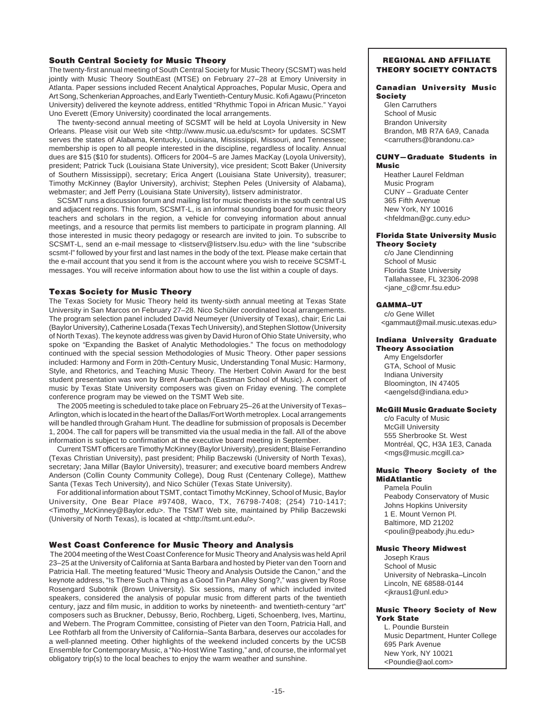# **South Central Society for Music Theory**

The twenty-first annual meeting of South Central Society for Music Theory (SCSMT) was held jointly with Music Theory SouthEast (MTSE) on February 27–28 at Emory University in Atlanta. Paper sessions included Recent Analytical Approaches, Popular Music, Opera and Art Song, Schenkerian Approaches, and Early Twentieth-Century Music. Kofi Agawu (Princeton University) delivered the keynote address, entitled "Rhythmic Topoi in African Music." Yayoi Uno Everett (Emory University) coordinated the local arrangements.

The twenty-second annual meeting of SCSMT will be held at Loyola University in New Orleans. Please visit our Web site <http://www.music.ua.edu/scsmt> for updates. SCSMT serves the states of Alabama, Kentucky, Louisiana, Mississippi, Missouri, and Tennessee; membership is open to all people interested in the discipline, regardless of locality. Annual dues are \$15 (\$10 for students). Officers for 2004–5 are James MacKay (Loyola University), president; Patrick Tuck (Louisiana State University), vice president; Scott Baker (University of Southern Mississippi), secretary; Erica Angert (Louisiana State University), treasurer; Timothy McKinney (Baylor University), archivist; Stephen Peles (University of Alabama), webmaster; and Jeff Perry (Louisiana State University), listserv administrator.

SCSMT runs a discussion forum and mailing list for music theorists in the south central US and adjacent regions. This forum, SCSMT-L, is an informal sounding board for music theory teachers and scholars in the region, a vehicle for conveying information about annual meetings, and a resource that permits list members to participate in program planning. All those interested in music theory pedagogy or research are invited to join. To subscribe to SCSMT-L, send an e-mail message to <listserv@listserv.lsu.edu> with the line "subscribe scsmt-l" followed by your first and last names in the body of the text. Please make certain that the e-mail account that you send it from is the account where you wish to receive SCSMT-L messages. You will receive information about how to use the list within a couple of days.

# **Texas Society for Music Theory**

The Texas Society for Music Theory held its twenty-sixth annual meeting at Texas State University in San Marcos on February 27–28. Nico Schüler coordinated local arrangements. The program selection panel included David Neumeyer (University of Texas), chair; Eric Lai (Baylor University), Catherine Losada (Texas Tech University), and Stephen Slottow (University of North Texas). The keynote address was given by David Huron of Ohio State University, who spoke on "Expanding the Basket of Analytic Methodologies." The focus on methodology continued with the special session Methodologies of Music Theory. Other paper sessions included: Harmony and Form in 20th-Century Music, Understanding Tonal Music: Harmony, Style, and Rhetorics, and Teaching Music Theory. The Herbert Colvin Award for the best student presentation was won by Brent Auerbach (Eastman School of Music). A concert of music by Texas State University composers was given on Friday evening. The complete conference program may be viewed on the TSMT Web site.

The 2005 meeting is scheduled to take place on February 25–26 at the University of Texas– Arlington, which is located in the heart of the Dallas/Fort Worth metroplex. Local arrangements will be handled through Graham Hunt. The deadline for submission of proposals is December 1, 2004. The call for papers will be transmitted via the usual media in the fall. All of the above information is subject to confirmation at the executive board meeting in September.

Current TSMT officers are Timothy McKinney (Baylor University), president; Blaise Ferrandino (Texas Christian University), past president; Philip Baczewski (University of North Texas), secretary; Jana Millar (Baylor University), treasurer; and executive board members Andrew Anderson (Collin County Community College), Doug Rust (Centenary College), Matthew Santa (Texas Tech University), and Nico Schüler (Texas State University).

For additional information about TSMT, contact Timothy McKinney, School of Music, Baylor University, One Bear Place #97408, Waco, TX, 76798-7408; (254) 710-1417; <Timothy\_McKinney@Baylor.edu>. The TSMT Web site, maintained by Philip Baczewski (University of North Texas), is located at <http://tsmt.unt.edu/>.

### **West Coast Conference for Music Theory and Analysis**

The 2004 meeting of the West Coast Conference for Music Theory and Analysis was held April 23–25 at the University of California at Santa Barbara and hosted by Pieter van den Toorn and Patricia Hall. The meeting featured "Music Theory and Analysis Outside the Canon," and the keynote address, "Is There Such a Thing as a Good Tin Pan Alley Song?," was given by Rose Rosengard Subotnik (Brown University). Six sessions, many of which included invited speakers, considered the analysis of popular music from different parts of the twentieth century, jazz and film music, in addition to works by nineteenth- and twentieth-century "art" composers such as Bruckner, Debussy, Berio, Rochberg, Ligeti, Schoenberg, Ives, Martinu, and Webern. The Program Committee, consisting of Pieter van den Toorn, Patricia Hall, and Lee Rothfarb all from the University of California–Santa Barbara, deserves our accolades for a well-planned meeting. Other highlights of the weekend included concerts by the UCSB Ensemble for Contemporary Music, a "No-Host Wine Tasting," and, of course, the informal yet obligatory trip(s) to the local beaches to enjoy the warm weather and sunshine.

### **REGIONAL AND AFFILIATE THEORY SOCIETY CONTACTS**

### **Canadian University Music Society**

Glen Carruthers School of Music Brandon University Brandon, MB R7A 6A9, Canada <carruthers@brandonu.ca>

### **CUNY—Graduate Students in Music**

Heather Laurel Feldman Music Program CUNY – Graduate Center 365 Fifth Avenue New York, NY 10016 <hfeldman@gc.cuny.edu>

### **Florida State University Music**

# **Theory Society**

c/o Jane Clendinning School of Music Florida State University Tallahassee, FL 32306-2098 <jane\_c@cmr.fsu.edu>

### **GAMMA–UT**

c/o Gene Willet <gammaut@mail.music.utexas.edu>

### **Indiana University Graduate Theory Association**

Amy Engelsdorfer GTA, School of Music Indiana University Bloomington, IN 47405 <aengelsd@indiana.edu>

# **McGill Music Graduate Society**

c/o Faculty of Music McGill University 555 Sherbrooke St. West Montréal, QC, H3A 1E3, Canada <mgs@music.mcgill.ca>

# **Music Theory Society of the MidAtlantic**

Pamela Poulin Peabody Conservatory of Music Johns Hopkins University 1 E. Mount Vernon Pl. Baltimore, MD 21202 <poulin@peabody.jhu.edu>

# **Music Theory Midwest**

Joseph Kraus School of Music University of Nebraska–Lincoln Lincoln, NE 68588-0144 <jkraus1@unl.edu>

### **Music Theory Society of New York State**

L. Poundie Burstein Music Department, Hunter College 695 Park Avenue New York, NY 10021 <Poundie@aol.com>